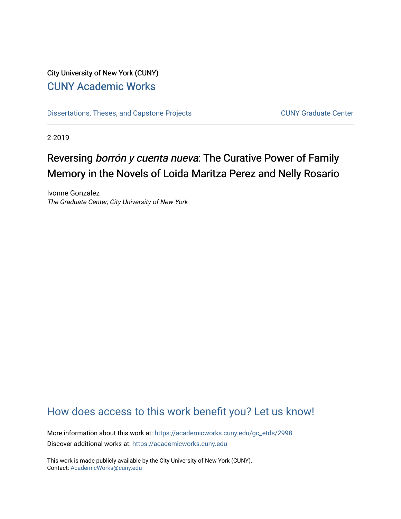## City University of New York (CUNY) [CUNY Academic Works](https://academicworks.cuny.edu/)

[Dissertations, Theses, and Capstone Projects](https://academicworks.cuny.edu/gc_etds) CUNY Graduate Center

2-2019

# Reversing borrón y cuenta nueva: The Curative Power of Family Memory in the Novels of Loida Maritza Perez and Nelly Rosario

Ivonne Gonzalez The Graduate Center, City University of New York

## [How does access to this work benefit you? Let us know!](http://ols.cuny.edu/academicworks/?ref=https://academicworks.cuny.edu/gc_etds/2998)

More information about this work at: [https://academicworks.cuny.edu/gc\\_etds/2998](https://academicworks.cuny.edu/gc_etds/2998) Discover additional works at: [https://academicworks.cuny.edu](https://academicworks.cuny.edu/?)

This work is made publicly available by the City University of New York (CUNY). Contact: [AcademicWorks@cuny.edu](mailto:AcademicWorks@cuny.edu)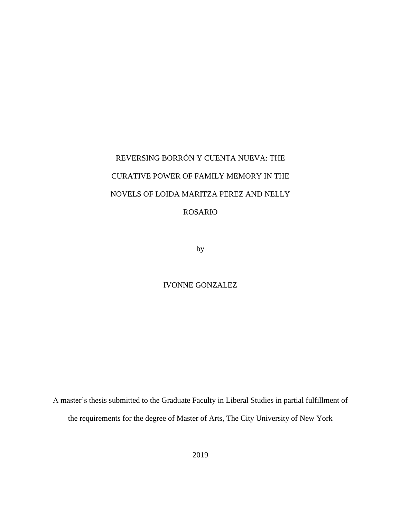# REVERSING BORRÓN Y CUENTA NUEVA: THE CURATIVE POWER OF FAMILY MEMORY IN THE NOVELS OF LOIDA MARITZA PEREZ AND NELLY ROSARIO

by

#### IVONNE GONZALEZ

A master's thesis submitted to the Graduate Faculty in Liberal Studies in partial fulfillment of the requirements for the degree of Master of Arts, The City University of New York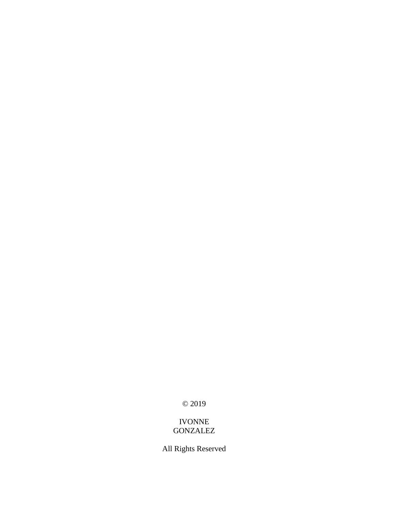© 2019

### IVONNE GONZALEZ

All Rights Reserved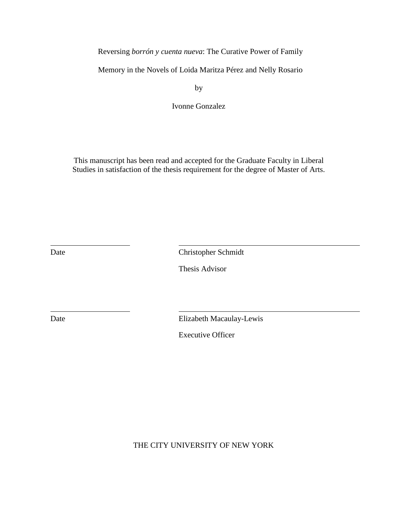Reversing *borrón y cuenta nueva*: The Curative Power of Family

Memory in the Novels of Loida Maritza Pérez and Nelly Rosario

by

Ivonne Gonzalez

This manuscript has been read and accepted for the Graduate Faculty in Liberal Studies in satisfaction of the thesis requirement for the degree of Master of Arts.

Date Christopher Schmidt

Thesis Advisor

Date Elizabeth Macaulay-Lewis

Executive Officer

THE CITY UNIVERSITY OF NEW YORK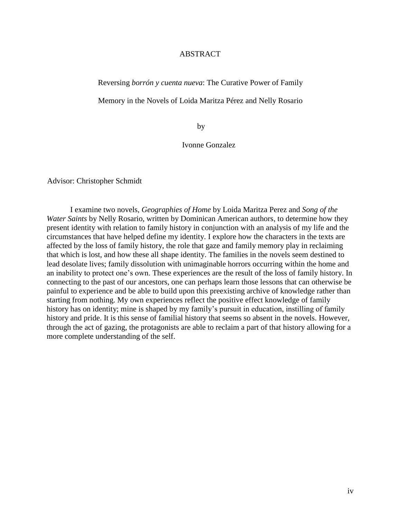#### ABSTRACT

Reversing *borrón y cuenta nueva*: The Curative Power of Family

Memory in the Novels of Loida Maritza Pérez and Nelly Rosario

by

Ivonne Gonzalez

Advisor: Christopher Schmidt

I examine two novels, *Geographies of Home* by Loida Maritza Perez and *Song of the Water Saints* by Nelly Rosario, written by Dominican American authors, to determine how they present identity with relation to family history in conjunction with an analysis of my life and the circumstances that have helped define my identity. I explore how the characters in the texts are affected by the loss of family history, the role that gaze and family memory play in reclaiming that which is lost, and how these all shape identity. The families in the novels seem destined to lead desolate lives; family dissolution with unimaginable horrors occurring within the home and an inability to protect one's own. These experiences are the result of the loss of family history. In connecting to the past of our ancestors, one can perhaps learn those lessons that can otherwise be painful to experience and be able to build upon this preexisting archive of knowledge rather than starting from nothing. My own experiences reflect the positive effect knowledge of family history has on identity; mine is shaped by my family's pursuit in education, instilling of family history and pride. It is this sense of familial history that seems so absent in the novels. However, through the act of gazing, the protagonists are able to reclaim a part of that history allowing for a more complete understanding of the self.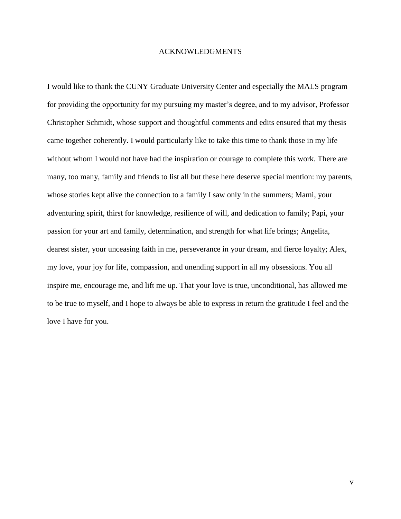#### ACKNOWLEDGMENTS

I would like to thank the CUNY Graduate University Center and especially the MALS program for providing the opportunity for my pursuing my master's degree, and to my advisor, Professor Christopher Schmidt, whose support and thoughtful comments and edits ensured that my thesis came together coherently. I would particularly like to take this time to thank those in my life without whom I would not have had the inspiration or courage to complete this work. There are many, too many, family and friends to list all but these here deserve special mention: my parents, whose stories kept alive the connection to a family I saw only in the summers; Mami, your adventuring spirit, thirst for knowledge, resilience of will, and dedication to family; Papi, your passion for your art and family, determination, and strength for what life brings; Angelita, dearest sister, your unceasing faith in me, perseverance in your dream, and fierce loyalty; Alex, my love, your joy for life, compassion, and unending support in all my obsessions. You all inspire me, encourage me, and lift me up. That your love is true, unconditional, has allowed me to be true to myself, and I hope to always be able to express in return the gratitude I feel and the love I have for you.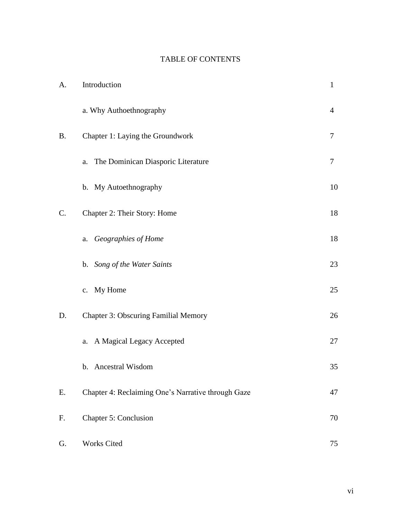## TABLE OF CONTENTS

| A.        | Introduction                                       | $\mathbf{1}$   |
|-----------|----------------------------------------------------|----------------|
|           | a. Why Authoethnography                            | $\overline{4}$ |
| <b>B.</b> | Chapter 1: Laying the Groundwork                   | 7              |
|           | The Dominican Diasporic Literature<br>a.           | 7              |
|           | b. My Autoethnography                              | 10             |
| C.        | Chapter 2: Their Story: Home                       | 18             |
|           | Geographies of Home<br>a.                          | 18             |
|           | b. Song of the Water Saints                        | 23             |
|           | c. My Home                                         | 25             |
| D.        | <b>Chapter 3: Obscuring Familial Memory</b>        | 26             |
|           | a. A Magical Legacy Accepted                       | 27             |
|           | b. Ancestral Wisdom                                | 35             |
| Ε.        | Chapter 4: Reclaiming One's Narrative through Gaze | 47             |
| F.        | <b>Chapter 5: Conclusion</b>                       | 70             |
| G.        | Works Cited                                        | 75             |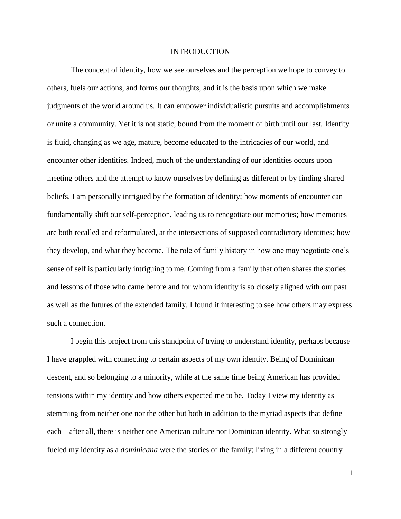#### INTRODUCTION

The concept of identity, how we see ourselves and the perception we hope to convey to others, fuels our actions, and forms our thoughts, and it is the basis upon which we make judgments of the world around us. It can empower individualistic pursuits and accomplishments or unite a community. Yet it is not static, bound from the moment of birth until our last. Identity is fluid, changing as we age, mature, become educated to the intricacies of our world, and encounter other identities. Indeed, much of the understanding of our identities occurs upon meeting others and the attempt to know ourselves by defining as different or by finding shared beliefs. I am personally intrigued by the formation of identity; how moments of encounter can fundamentally shift our self-perception, leading us to renegotiate our memories; how memories are both recalled and reformulated, at the intersections of supposed contradictory identities; how they develop, and what they become. The role of family history in how one may negotiate one's sense of self is particularly intriguing to me. Coming from a family that often shares the stories and lessons of those who came before and for whom identity is so closely aligned with our past as well as the futures of the extended family, I found it interesting to see how others may express such a connection.

I begin this project from this standpoint of trying to understand identity, perhaps because I have grappled with connecting to certain aspects of my own identity. Being of Dominican descent, and so belonging to a minority, while at the same time being American has provided tensions within my identity and how others expected me to be. Today I view my identity as stemming from neither one nor the other but both in addition to the myriad aspects that define each—after all, there is neither one American culture nor Dominican identity. What so strongly fueled my identity as a *dominicana* were the stories of the family; living in a different country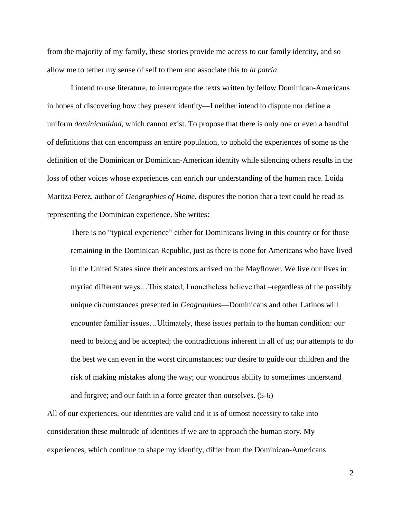from the majority of my family, these stories provide me access to our family identity, and so allow me to tether my sense of self to them and associate this to *la patria*.

I intend to use literature, to interrogate the texts written by fellow Dominican-Americans in hopes of discovering how they present identity—I neither intend to dispute nor define a uniform *dominicanidad*, which cannot exist. To propose that there is only one or even a handful of definitions that can encompass an entire population, to uphold the experiences of some as the definition of the Dominican or Dominican-American identity while silencing others results in the loss of other voices whose experiences can enrich our understanding of the human race. Loida Maritza Perez, author of *Geographies of Home*, disputes the notion that a text could be read as representing the Dominican experience. She writes:

There is no "typical experience" either for Dominicans living in this country or for those remaining in the Dominican Republic, just as there is none for Americans who have lived in the United States since their ancestors arrived on the Mayflower. We live our lives in myriad different ways…This stated, I nonetheless believe that –regardless of the possibly unique circumstances presented in *Geographies*—Dominicans and other Latinos will encounter familiar issues…Ultimately, these issues pertain to the human condition: our need to belong and be accepted; the contradictions inherent in all of us; our attempts to do the best we can even in the worst circumstances; our desire to guide our children and the risk of making mistakes along the way; our wondrous ability to sometimes understand and forgive; and our faith in a force greater than ourselves. (5-6)

All of our experiences, our identities are valid and it is of utmost necessity to take into consideration these multitude of identities if we are to approach the human story. My experiences, which continue to shape my identity, differ from the Dominican-Americans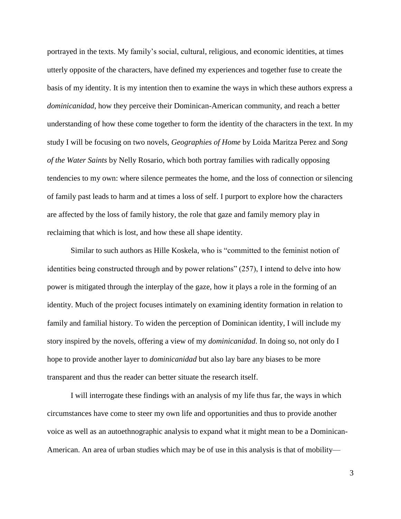portrayed in the texts. My family's social, cultural, religious, and economic identities, at times utterly opposite of the characters, have defined my experiences and together fuse to create the basis of my identity. It is my intention then to examine the ways in which these authors express a *dominicanidad*, how they perceive their Dominican-American community, and reach a better understanding of how these come together to form the identity of the characters in the text. In my study I will be focusing on two novels, *Geographies of Home* by Loida Maritza Perez and *Song of the Water Saints* by Nelly Rosario, which both portray families with radically opposing tendencies to my own: where silence permeates the home, and the loss of connection or silencing of family past leads to harm and at times a loss of self. I purport to explore how the characters are affected by the loss of family history, the role that gaze and family memory play in reclaiming that which is lost, and how these all shape identity.

Similar to such authors as Hille Koskela, who is "committed to the feminist notion of identities being constructed through and by power relations" (257), I intend to delve into how power is mitigated through the interplay of the gaze, how it plays a role in the forming of an identity. Much of the project focuses intimately on examining identity formation in relation to family and familial history. To widen the perception of Dominican identity, I will include my story inspired by the novels, offering a view of my *dominicanidad*. In doing so, not only do I hope to provide another layer to *dominicanidad* but also lay bare any biases to be more transparent and thus the reader can better situate the research itself.

I will interrogate these findings with an analysis of my life thus far, the ways in which circumstances have come to steer my own life and opportunities and thus to provide another voice as well as an autoethnographic analysis to expand what it might mean to be a Dominican-American. An area of urban studies which may be of use in this analysis is that of mobility—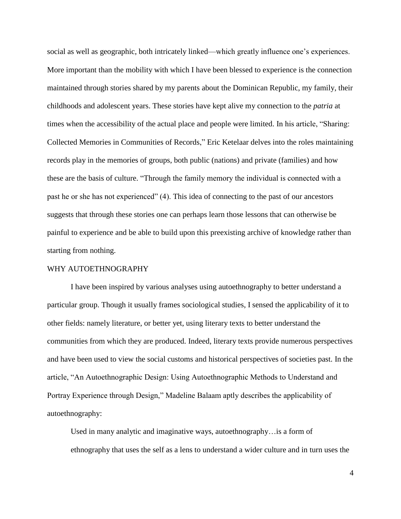social as well as geographic, both intricately linked—which greatly influence one's experiences. More important than the mobility with which I have been blessed to experience is the connection maintained through stories shared by my parents about the Dominican Republic, my family, their childhoods and adolescent years. These stories have kept alive my connection to the *patria* at times when the accessibility of the actual place and people were limited. In his article, "Sharing: Collected Memories in Communities of Records," Eric Ketelaar delves into the roles maintaining records play in the memories of groups, both public (nations) and private (families) and how these are the basis of culture. "Through the family memory the individual is connected with a past he or she has not experienced" (4). This idea of connecting to the past of our ancestors suggests that through these stories one can perhaps learn those lessons that can otherwise be painful to experience and be able to build upon this preexisting archive of knowledge rather than starting from nothing.

#### WHY AUTOETHNOGRAPHY

I have been inspired by various analyses using autoethnography to better understand a particular group. Though it usually frames sociological studies, I sensed the applicability of it to other fields: namely literature, or better yet, using literary texts to better understand the communities from which they are produced. Indeed, literary texts provide numerous perspectives and have been used to view the social customs and historical perspectives of societies past. In the article, "An Autoethnographic Design: Using Autoethnographic Methods to Understand and Portray Experience through Design," Madeline Balaam aptly describes the applicability of autoethnography:

Used in many analytic and imaginative ways, autoethnography…is a form of ethnography that uses the self as a lens to understand a wider culture and in turn uses the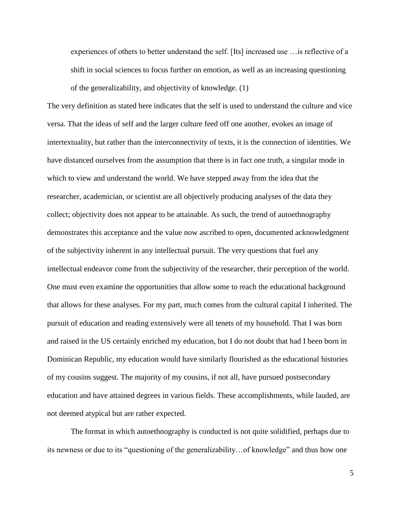experiences of others to better understand the self. [Its] increased use …is reflective of a shift in social sciences to focus further on emotion, as well as an increasing questioning of the generalizability, and objectivity of knowledge. (1)

The very definition as stated here indicates that the self is used to understand the culture and vice versa. That the ideas of self and the larger culture feed off one another, evokes an image of intertextuality, but rather than the interconnectivity of texts, it is the connection of identities. We have distanced ourselves from the assumption that there is in fact one truth, a singular mode in which to view and understand the world. We have stepped away from the idea that the researcher, academician, or scientist are all objectively producing analyses of the data they collect; objectivity does not appear to be attainable. As such, the trend of autoethnography demonstrates this acceptance and the value now ascribed to open, documented acknowledgment of the subjectivity inherent in any intellectual pursuit. The very questions that fuel any intellectual endeavor come from the subjectivity of the researcher, their perception of the world. One must even examine the opportunities that allow some to reach the educational background that allows for these analyses. For my part, much comes from the cultural capital I inherited. The pursuit of education and reading extensively were all tenets of my household. That I was born and raised in the US certainly enriched my education, but I do not doubt that had I been born in Dominican Republic, my education would have similarly flourished as the educational histories of my cousins suggest. The majority of my cousins, if not all, have pursued postsecondary education and have attained degrees in various fields. These accomplishments, while lauded, are not deemed atypical but are rather expected.

The format in which autoethnography is conducted is not quite solidified, perhaps due to its newness or due to its "questioning of the generalizability…of knowledge" and thus how one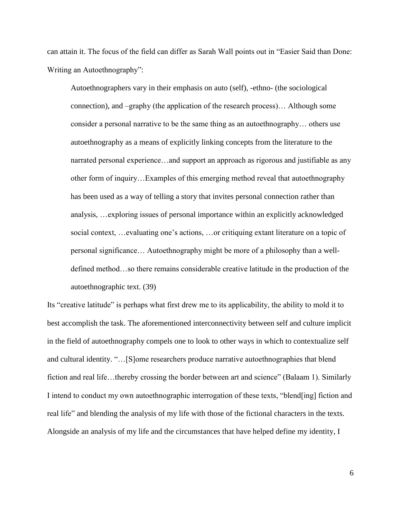can attain it. The focus of the field can differ as Sarah Wall points out in "Easier Said than Done: Writing an Autoethnography":

Autoethnographers vary in their emphasis on auto (self), -ethno- (the sociological connection), and –graphy (the application of the research process)… Although some consider a personal narrative to be the same thing as an autoethnography… others use autoethnography as a means of explicitly linking concepts from the literature to the narrated personal experience…and support an approach as rigorous and justifiable as any other form of inquiry…Examples of this emerging method reveal that autoethnography has been used as a way of telling a story that invites personal connection rather than analysis, …exploring issues of personal importance within an explicitly acknowledged social context, …evaluating one's actions, …or critiquing extant literature on a topic of personal significance… Autoethnography might be more of a philosophy than a welldefined method…so there remains considerable creative latitude in the production of the autoethnographic text. (39)

Its "creative latitude" is perhaps what first drew me to its applicability, the ability to mold it to best accomplish the task. The aforementioned interconnectivity between self and culture implicit in the field of autoethnography compels one to look to other ways in which to contextualize self and cultural identity. "…[S]ome researchers produce narrative autoethnographies that blend fiction and real life…thereby crossing the border between art and science" (Balaam 1). Similarly I intend to conduct my own autoethnographic interrogation of these texts, "blend[ing] fiction and real life" and blending the analysis of my life with those of the fictional characters in the texts. Alongside an analysis of my life and the circumstances that have helped define my identity, I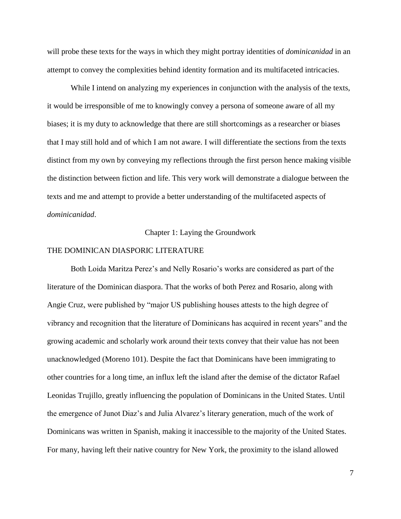will probe these texts for the ways in which they might portray identities of *dominicanidad* in an attempt to convey the complexities behind identity formation and its multifaceted intricacies.

While I intend on analyzing my experiences in conjunction with the analysis of the texts, it would be irresponsible of me to knowingly convey a persona of someone aware of all my biases; it is my duty to acknowledge that there are still shortcomings as a researcher or biases that I may still hold and of which I am not aware. I will differentiate the sections from the texts distinct from my own by conveying my reflections through the first person hence making visible the distinction between fiction and life. This very work will demonstrate a dialogue between the texts and me and attempt to provide a better understanding of the multifaceted aspects of *dominicanidad*.

Chapter 1: Laying the Groundwork

#### THE DOMINICAN DIASPORIC LITERATURE

Both Loida Maritza Perez's and Nelly Rosario's works are considered as part of the literature of the Dominican diaspora. That the works of both Perez and Rosario, along with Angie Cruz, were published by "major US publishing houses attests to the high degree of vibrancy and recognition that the literature of Dominicans has acquired in recent years" and the growing academic and scholarly work around their texts convey that their value has not been unacknowledged (Moreno 101). Despite the fact that Dominicans have been immigrating to other countries for a long time, an influx left the island after the demise of the dictator Rafael Leonidas Trujillo, greatly influencing the population of Dominicans in the United States. Until the emergence of Junot Diaz's and Julia Alvarez's literary generation, much of the work of Dominicans was written in Spanish, making it inaccessible to the majority of the United States. For many, having left their native country for New York, the proximity to the island allowed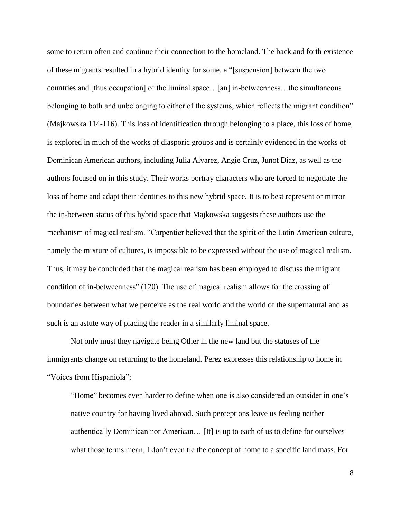some to return often and continue their connection to the homeland. The back and forth existence of these migrants resulted in a hybrid identity for some, a "[suspension] between the two countries and [thus occupation] of the liminal space…[an] in-betweenness…the simultaneous belonging to both and unbelonging to either of the systems, which reflects the migrant condition" (Majkowska 114-116). This loss of identification through belonging to a place, this loss of home, is explored in much of the works of diasporic groups and is certainly evidenced in the works of Dominican American authors, including Julia Alvarez, Angie Cruz, Junot Díaz, as well as the authors focused on in this study. Their works portray characters who are forced to negotiate the loss of home and adapt their identities to this new hybrid space. It is to best represent or mirror the in-between status of this hybrid space that Majkowska suggests these authors use the mechanism of magical realism. "Carpentier believed that the spirit of the Latin American culture, namely the mixture of cultures, is impossible to be expressed without the use of magical realism. Thus, it may be concluded that the magical realism has been employed to discuss the migrant condition of in-betweenness" (120). The use of magical realism allows for the crossing of boundaries between what we perceive as the real world and the world of the supernatural and as such is an astute way of placing the reader in a similarly liminal space.

Not only must they navigate being Other in the new land but the statuses of the immigrants change on returning to the homeland. Perez expresses this relationship to home in "Voices from Hispaniola":

"Home" becomes even harder to define when one is also considered an outsider in one's native country for having lived abroad. Such perceptions leave us feeling neither authentically Dominican nor American… [It] is up to each of us to define for ourselves what those terms mean. I don't even tie the concept of home to a specific land mass. For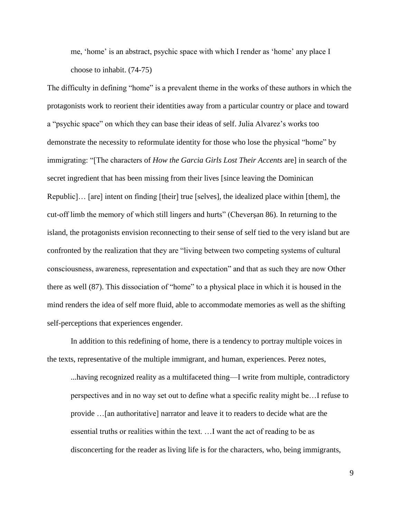me, 'home' is an abstract, psychic space with which I render as 'home' any place I choose to inhabit. (74-75)

The difficulty in defining "home" is a prevalent theme in the works of these authors in which the protagonists work to reorient their identities away from a particular country or place and toward a "psychic space" on which they can base their ideas of self. Julia Alvarez's works too demonstrate the necessity to reformulate identity for those who lose the physical "home" by immigrating: "[The characters of *How the Garcia Girls Lost Their Accents* are] in search of the secret ingredient that has been missing from their lives [since leaving the Dominican Republic]… [are] intent on finding [their] true [selves], the idealized place within [them], the cut-off limb the memory of which still lingers and hurts" (Cheverşan 86). In returning to the island, the protagonists envision reconnecting to their sense of self tied to the very island but are confronted by the realization that they are "living between two competing systems of cultural consciousness, awareness, representation and expectation" and that as such they are now Other there as well (87). This dissociation of "home" to a physical place in which it is housed in the mind renders the idea of self more fluid, able to accommodate memories as well as the shifting self-perceptions that experiences engender.

In addition to this redefining of home, there is a tendency to portray multiple voices in the texts, representative of the multiple immigrant, and human, experiences. Perez notes,

...having recognized reality as a multifaceted thing—I write from multiple, contradictory perspectives and in no way set out to define what a specific reality might be…I refuse to provide …[an authoritative] narrator and leave it to readers to decide what are the essential truths or realities within the text. …I want the act of reading to be as disconcerting for the reader as living life is for the characters, who, being immigrants,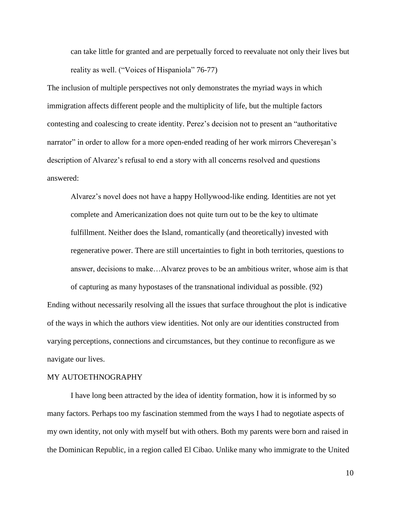can take little for granted and are perpetually forced to reevaluate not only their lives but reality as well. ("Voices of Hispaniola" 76-77)

The inclusion of multiple perspectives not only demonstrates the myriad ways in which immigration affects different people and the multiplicity of life, but the multiple factors contesting and coalescing to create identity. Perez's decision not to present an "authoritative narrator" in order to allow for a more open-ended reading of her work mirrors Cheveresan's description of Alvarez's refusal to end a story with all concerns resolved and questions answered:

Alvarez's novel does not have a happy Hollywood-like ending. Identities are not yet complete and Americanization does not quite turn out to be the key to ultimate fulfillment. Neither does the Island, romantically (and theoretically) invested with regenerative power. There are still uncertainties to fight in both territories, questions to answer, decisions to make…Alvarez proves to be an ambitious writer, whose aim is that

of capturing as many hypostases of the transnational individual as possible. (92) Ending without necessarily resolving all the issues that surface throughout the plot is indicative of the ways in which the authors view identities. Not only are our identities constructed from varying perceptions, connections and circumstances, but they continue to reconfigure as we navigate our lives.

#### MY AUTOETHNOGRAPHY

I have long been attracted by the idea of identity formation, how it is informed by so many factors. Perhaps too my fascination stemmed from the ways I had to negotiate aspects of my own identity, not only with myself but with others. Both my parents were born and raised in the Dominican Republic, in a region called El Cibao. Unlike many who immigrate to the United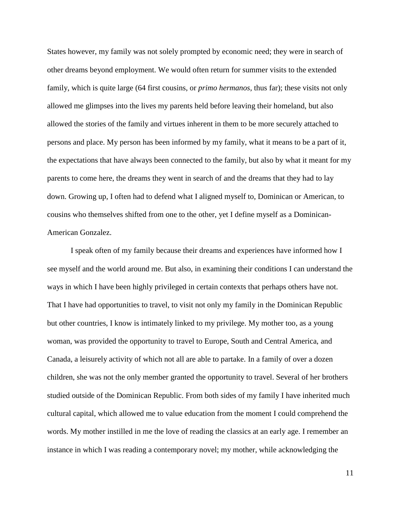States however, my family was not solely prompted by economic need; they were in search of other dreams beyond employment. We would often return for summer visits to the extended family, which is quite large (64 first cousins, or *primo hermanos*, thus far); these visits not only allowed me glimpses into the lives my parents held before leaving their homeland, but also allowed the stories of the family and virtues inherent in them to be more securely attached to persons and place. My person has been informed by my family, what it means to be a part of it, the expectations that have always been connected to the family, but also by what it meant for my parents to come here, the dreams they went in search of and the dreams that they had to lay down. Growing up, I often had to defend what I aligned myself to, Dominican or American, to cousins who themselves shifted from one to the other, yet I define myself as a Dominican-American Gonzalez.

I speak often of my family because their dreams and experiences have informed how I see myself and the world around me. But also, in examining their conditions I can understand the ways in which I have been highly privileged in certain contexts that perhaps others have not. That I have had opportunities to travel, to visit not only my family in the Dominican Republic but other countries, I know is intimately linked to my privilege. My mother too, as a young woman, was provided the opportunity to travel to Europe, South and Central America, and Canada, a leisurely activity of which not all are able to partake. In a family of over a dozen children, she was not the only member granted the opportunity to travel. Several of her brothers studied outside of the Dominican Republic. From both sides of my family I have inherited much cultural capital, which allowed me to value education from the moment I could comprehend the words. My mother instilled in me the love of reading the classics at an early age. I remember an instance in which I was reading a contemporary novel; my mother, while acknowledging the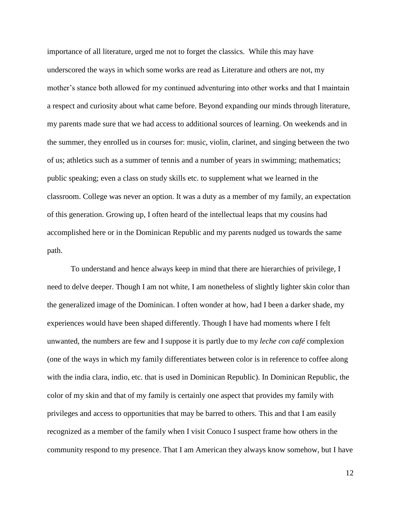importance of all literature, urged me not to forget the classics. While this may have underscored the ways in which some works are read as Literature and others are not, my mother's stance both allowed for my continued adventuring into other works and that I maintain a respect and curiosity about what came before. Beyond expanding our minds through literature, my parents made sure that we had access to additional sources of learning. On weekends and in the summer, they enrolled us in courses for: music, violin, clarinet, and singing between the two of us; athletics such as a summer of tennis and a number of years in swimming; mathematics; public speaking; even a class on study skills etc. to supplement what we learned in the classroom. College was never an option. It was a duty as a member of my family, an expectation of this generation. Growing up, I often heard of the intellectual leaps that my cousins had accomplished here or in the Dominican Republic and my parents nudged us towards the same path.

To understand and hence always keep in mind that there are hierarchies of privilege, I need to delve deeper. Though I am not white, I am nonetheless of slightly lighter skin color than the generalized image of the Dominican. I often wonder at how, had I been a darker shade, my experiences would have been shaped differently. Though I have had moments where I felt unwanted, the numbers are few and I suppose it is partly due to my *leche con café* complexion (one of the ways in which my family differentiates between color is in reference to coffee along with the india clara, indio, etc. that is used in Dominican Republic). In Dominican Republic, the color of my skin and that of my family is certainly one aspect that provides my family with privileges and access to opportunities that may be barred to others. This and that I am easily recognized as a member of the family when I visit Conuco I suspect frame how others in the community respond to my presence. That I am American they always know somehow, but I have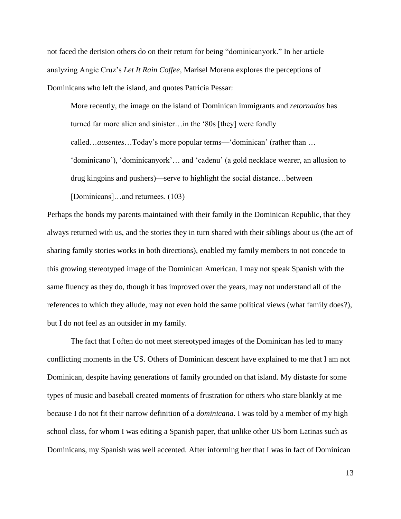not faced the derision others do on their return for being "dominicanyork." In her article analyzing Angie Cruz's *Let It Rain Coffee*, Marisel Morena explores the perceptions of Dominicans who left the island, and quotes Patricia Pessar:

More recently, the image on the island of Dominican immigrants and *retornados* has turned far more alien and sinister…in the '80s [they] were fondly called…*ausentes*…Today's more popular terms—'dominican' (rather than … 'dominicano'), 'dominicanyork'… and 'cadenu' (a gold necklace wearer, an allusion to drug kingpins and pushers)—serve to highlight the social distance…between [Dominicans]...and returnees. (103)

Perhaps the bonds my parents maintained with their family in the Dominican Republic, that they always returned with us, and the stories they in turn shared with their siblings about us (the act of sharing family stories works in both directions), enabled my family members to not concede to this growing stereotyped image of the Dominican American. I may not speak Spanish with the same fluency as they do, though it has improved over the years, may not understand all of the references to which they allude, may not even hold the same political views (what family does?), but I do not feel as an outsider in my family.

The fact that I often do not meet stereotyped images of the Dominican has led to many conflicting moments in the US. Others of Dominican descent have explained to me that I am not Dominican, despite having generations of family grounded on that island. My distaste for some types of music and baseball created moments of frustration for others who stare blankly at me because I do not fit their narrow definition of a *dominicana*. I was told by a member of my high school class, for whom I was editing a Spanish paper, that unlike other US born Latinas such as Dominicans, my Spanish was well accented. After informing her that I was in fact of Dominican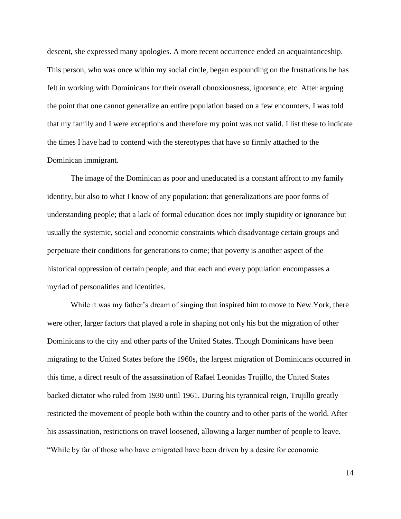descent, she expressed many apologies. A more recent occurrence ended an acquaintanceship. This person, who was once within my social circle, began expounding on the frustrations he has felt in working with Dominicans for their overall obnoxiousness, ignorance, etc. After arguing the point that one cannot generalize an entire population based on a few encounters, I was told that my family and I were exceptions and therefore my point was not valid. I list these to indicate the times I have had to contend with the stereotypes that have so firmly attached to the Dominican immigrant.

The image of the Dominican as poor and uneducated is a constant affront to my family identity, but also to what I know of any population: that generalizations are poor forms of understanding people; that a lack of formal education does not imply stupidity or ignorance but usually the systemic, social and economic constraints which disadvantage certain groups and perpetuate their conditions for generations to come; that poverty is another aspect of the historical oppression of certain people; and that each and every population encompasses a myriad of personalities and identities.

While it was my father's dream of singing that inspired him to move to New York, there were other, larger factors that played a role in shaping not only his but the migration of other Dominicans to the city and other parts of the United States. Though Dominicans have been migrating to the United States before the 1960s, the largest migration of Dominicans occurred in this time, a direct result of the assassination of Rafael Leonidas Trujillo, the United States backed dictator who ruled from 1930 until 1961. During his tyrannical reign, Trujillo greatly restricted the movement of people both within the country and to other parts of the world. After his assassination, restrictions on travel loosened, allowing a larger number of people to leave. "While by far of those who have emigrated have been driven by a desire for economic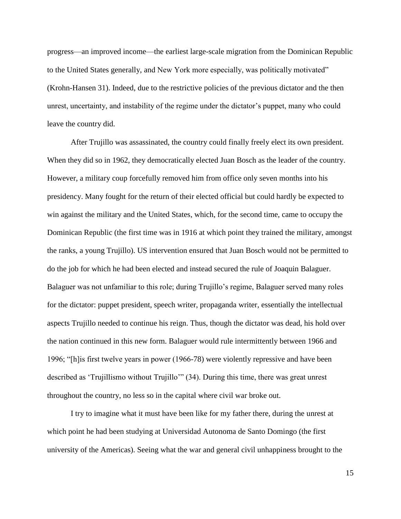progress—an improved income—the earliest large-scale migration from the Dominican Republic to the United States generally, and New York more especially, was politically motivated" (Krohn-Hansen 31). Indeed, due to the restrictive policies of the previous dictator and the then unrest, uncertainty, and instability of the regime under the dictator's puppet, many who could leave the country did.

After Trujillo was assassinated, the country could finally freely elect its own president. When they did so in 1962, they democratically elected Juan Bosch as the leader of the country. However, a military coup forcefully removed him from office only seven months into his presidency. Many fought for the return of their elected official but could hardly be expected to win against the military and the United States, which, for the second time, came to occupy the Dominican Republic (the first time was in 1916 at which point they trained the military, amongst the ranks, a young Trujillo). US intervention ensured that Juan Bosch would not be permitted to do the job for which he had been elected and instead secured the rule of Joaquin Balaguer. Balaguer was not unfamiliar to this role; during Trujillo's regime, Balaguer served many roles for the dictator: puppet president, speech writer, propaganda writer, essentially the intellectual aspects Trujillo needed to continue his reign. Thus, though the dictator was dead, his hold over the nation continued in this new form. Balaguer would rule intermittently between 1966 and 1996; "[h]is first twelve years in power (1966-78) were violently repressive and have been described as 'Trujillismo without Trujillo'" (34). During this time, there was great unrest throughout the country, no less so in the capital where civil war broke out.

I try to imagine what it must have been like for my father there, during the unrest at which point he had been studying at Universidad Autonoma de Santo Domingo (the first university of the Americas). Seeing what the war and general civil unhappiness brought to the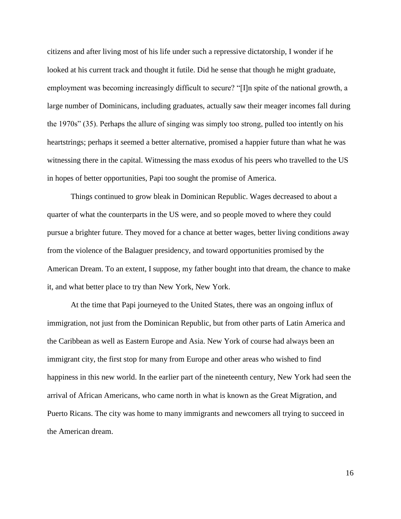citizens and after living most of his life under such a repressive dictatorship, I wonder if he looked at his current track and thought it futile. Did he sense that though he might graduate, employment was becoming increasingly difficult to secure? "[I]n spite of the national growth, a large number of Dominicans, including graduates, actually saw their meager incomes fall during the 1970s" (35). Perhaps the allure of singing was simply too strong, pulled too intently on his heartstrings; perhaps it seemed a better alternative, promised a happier future than what he was witnessing there in the capital. Witnessing the mass exodus of his peers who travelled to the US in hopes of better opportunities, Papi too sought the promise of America.

Things continued to grow bleak in Dominican Republic. Wages decreased to about a quarter of what the counterparts in the US were, and so people moved to where they could pursue a brighter future. They moved for a chance at better wages, better living conditions away from the violence of the Balaguer presidency, and toward opportunities promised by the American Dream. To an extent, I suppose, my father bought into that dream, the chance to make it, and what better place to try than New York, New York.

At the time that Papi journeyed to the United States, there was an ongoing influx of immigration, not just from the Dominican Republic, but from other parts of Latin America and the Caribbean as well as Eastern Europe and Asia. New York of course had always been an immigrant city, the first stop for many from Europe and other areas who wished to find happiness in this new world. In the earlier part of the nineteenth century, New York had seen the arrival of African Americans, who came north in what is known as the Great Migration, and Puerto Ricans. The city was home to many immigrants and newcomers all trying to succeed in the American dream.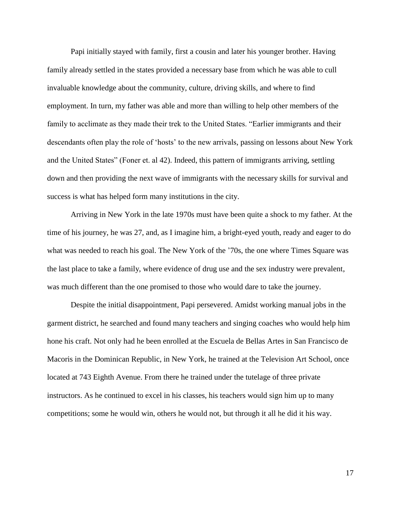Papi initially stayed with family, first a cousin and later his younger brother. Having family already settled in the states provided a necessary base from which he was able to cull invaluable knowledge about the community, culture, driving skills, and where to find employment. In turn, my father was able and more than willing to help other members of the family to acclimate as they made their trek to the United States. "Earlier immigrants and their descendants often play the role of 'hosts' to the new arrivals, passing on lessons about New York and the United States" (Foner et. al 42). Indeed, this pattern of immigrants arriving, settling down and then providing the next wave of immigrants with the necessary skills for survival and success is what has helped form many institutions in the city.

Arriving in New York in the late 1970s must have been quite a shock to my father. At the time of his journey, he was 27, and, as I imagine him, a bright-eyed youth, ready and eager to do what was needed to reach his goal. The New York of the '70s, the one where Times Square was the last place to take a family, where evidence of drug use and the sex industry were prevalent, was much different than the one promised to those who would dare to take the journey.

Despite the initial disappointment, Papi persevered. Amidst working manual jobs in the garment district, he searched and found many teachers and singing coaches who would help him hone his craft. Not only had he been enrolled at the Escuela de Bellas Artes in San Francisco de Macoris in the Dominican Republic, in New York, he trained at the Television Art School, once located at 743 Eighth Avenue. From there he trained under the tutelage of three private instructors. As he continued to excel in his classes, his teachers would sign him up to many competitions; some he would win, others he would not, but through it all he did it his way.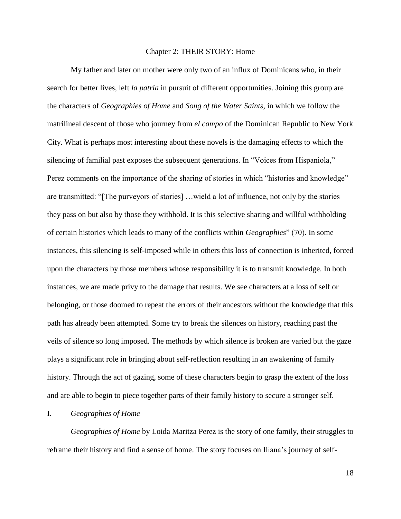#### Chapter 2: THEIR STORY: Home

My father and later on mother were only two of an influx of Dominicans who, in their search for better lives, left *la patria* in pursuit of different opportunities. Joining this group are the characters of *Geographies of Home* and *Song of the Water Saints*, in which we follow the matrilineal descent of those who journey from *el campo* of the Dominican Republic to New York City. What is perhaps most interesting about these novels is the damaging effects to which the silencing of familial past exposes the subsequent generations. In "Voices from Hispaniola," Perez comments on the importance of the sharing of stories in which "histories and knowledge" are transmitted: "[The purveyors of stories] …wield a lot of influence, not only by the stories they pass on but also by those they withhold. It is this selective sharing and willful withholding of certain histories which leads to many of the conflicts within *Geographies*" (70). In some instances, this silencing is self-imposed while in others this loss of connection is inherited, forced upon the characters by those members whose responsibility it is to transmit knowledge. In both instances, we are made privy to the damage that results. We see characters at a loss of self or belonging, or those doomed to repeat the errors of their ancestors without the knowledge that this path has already been attempted. Some try to break the silences on history, reaching past the veils of silence so long imposed. The methods by which silence is broken are varied but the gaze plays a significant role in bringing about self-reflection resulting in an awakening of family history. Through the act of gazing, some of these characters begin to grasp the extent of the loss and are able to begin to piece together parts of their family history to secure a stronger self.

#### I. *Geographies of Home*

*Geographies of Home* by Loida Maritza Perez is the story of one family, their struggles to reframe their history and find a sense of home. The story focuses on Iliana's journey of self-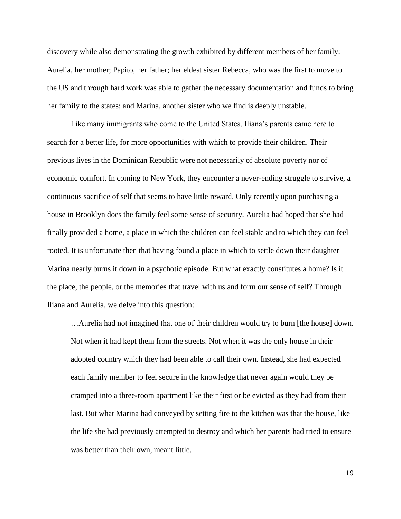discovery while also demonstrating the growth exhibited by different members of her family: Aurelia, her mother; Papito, her father; her eldest sister Rebecca, who was the first to move to the US and through hard work was able to gather the necessary documentation and funds to bring her family to the states; and Marina, another sister who we find is deeply unstable.

Like many immigrants who come to the United States, Iliana's parents came here to search for a better life, for more opportunities with which to provide their children. Their previous lives in the Dominican Republic were not necessarily of absolute poverty nor of economic comfort. In coming to New York, they encounter a never-ending struggle to survive, a continuous sacrifice of self that seems to have little reward. Only recently upon purchasing a house in Brooklyn does the family feel some sense of security. Aurelia had hoped that she had finally provided a home, a place in which the children can feel stable and to which they can feel rooted. It is unfortunate then that having found a place in which to settle down their daughter Marina nearly burns it down in a psychotic episode. But what exactly constitutes a home? Is it the place, the people, or the memories that travel with us and form our sense of self? Through Iliana and Aurelia, we delve into this question:

…Aurelia had not imagined that one of their children would try to burn [the house] down. Not when it had kept them from the streets. Not when it was the only house in their adopted country which they had been able to call their own. Instead, she had expected each family member to feel secure in the knowledge that never again would they be cramped into a three-room apartment like their first or be evicted as they had from their last. But what Marina had conveyed by setting fire to the kitchen was that the house, like the life she had previously attempted to destroy and which her parents had tried to ensure was better than their own, meant little.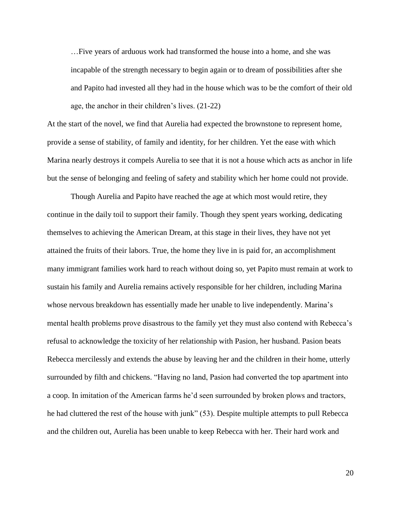…Five years of arduous work had transformed the house into a home, and she was incapable of the strength necessary to begin again or to dream of possibilities after she and Papito had invested all they had in the house which was to be the comfort of their old age, the anchor in their children's lives. (21-22)

At the start of the novel, we find that Aurelia had expected the brownstone to represent home, provide a sense of stability, of family and identity, for her children. Yet the ease with which Marina nearly destroys it compels Aurelia to see that it is not a house which acts as anchor in life but the sense of belonging and feeling of safety and stability which her home could not provide.

Though Aurelia and Papito have reached the age at which most would retire, they continue in the daily toil to support their family. Though they spent years working, dedicating themselves to achieving the American Dream, at this stage in their lives, they have not yet attained the fruits of their labors. True, the home they live in is paid for, an accomplishment many immigrant families work hard to reach without doing so, yet Papito must remain at work to sustain his family and Aurelia remains actively responsible for her children, including Marina whose nervous breakdown has essentially made her unable to live independently. Marina's mental health problems prove disastrous to the family yet they must also contend with Rebecca's refusal to acknowledge the toxicity of her relationship with Pasion, her husband. Pasion beats Rebecca mercilessly and extends the abuse by leaving her and the children in their home, utterly surrounded by filth and chickens. "Having no land, Pasion had converted the top apartment into a coop. In imitation of the American farms he'd seen surrounded by broken plows and tractors, he had cluttered the rest of the house with junk" (53). Despite multiple attempts to pull Rebecca and the children out, Aurelia has been unable to keep Rebecca with her. Their hard work and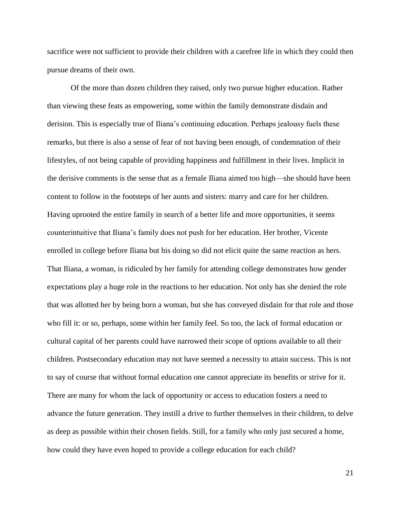sacrifice were not sufficient to provide their children with a carefree life in which they could then pursue dreams of their own.

Of the more than dozen children they raised, only two pursue higher education. Rather than viewing these feats as empowering, some within the family demonstrate disdain and derision. This is especially true of Iliana's continuing education. Perhaps jealousy fuels these remarks, but there is also a sense of fear of not having been enough, of condemnation of their lifestyles, of not being capable of providing happiness and fulfillment in their lives. Implicit in the derisive comments is the sense that as a female Iliana aimed too high—she should have been content to follow in the footsteps of her aunts and sisters: marry and care for her children. Having uprooted the entire family in search of a better life and more opportunities, it seems counterintuitive that Iliana's family does not push for her education. Her brother, Vicente enrolled in college before Iliana but his doing so did not elicit quite the same reaction as hers. That Iliana, a woman, is ridiculed by her family for attending college demonstrates how gender expectations play a huge role in the reactions to her education. Not only has she denied the role that was allotted her by being born a woman, but she has conveyed disdain for that role and those who fill it: or so, perhaps, some within her family feel. So too, the lack of formal education or cultural capital of her parents could have narrowed their scope of options available to all their children. Postsecondary education may not have seemed a necessity to attain success. This is not to say of course that without formal education one cannot appreciate its benefits or strive for it. There are many for whom the lack of opportunity or access to education fosters a need to advance the future generation. They instill a drive to further themselves in their children, to delve as deep as possible within their chosen fields. Still, for a family who only just secured a home, how could they have even hoped to provide a college education for each child?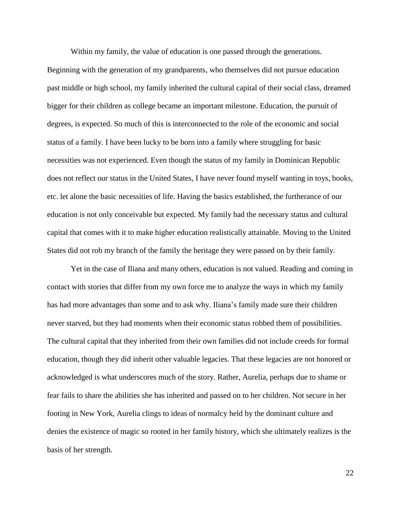Within my family, the value of education is one passed through the generations. Beginning with the generation of my grandparents, who themselves did not pursue education past middle or high school, my family inherited the cultural capital of their social class, dreamed bigger for their children as college became an important milestone. Education, the pursuit of degrees, is expected. So much of this is interconnected to the role of the economic and social status of a family. I have been lucky to be born into a family where struggling for basic necessities was not experienced. Even though the status of my family in Dominican Republic does not reflect our status in the United States, I have never found myself wanting in toys, books, etc. let alone the basic necessities of life. Having the basics established, the furtherance of our education is not only conceivable but expected. My family had the necessary status and cultural capital that comes with it to make higher education realistically attainable. Moving to the United States did not rob my branch of the family the heritage they were passed on by their family.

Yet in the case of Iliana and many others, education is not valued. Reading and coming in contact with stories that differ from my own force me to analyze the ways in which my family has had more advantages than some and to ask why. Iliana's family made sure their children never starved, but they had moments when their economic status robbed them of possibilities. The cultural capital that they inherited from their own families did not include creeds for formal education, though they did inherit other valuable legacies. That these legacies are not honored or acknowledged is what underscores much of the story. Rather, Aurelia, perhaps due to shame or fear fails to share the abilities she has inherited and passed on to her children. Not secure in her footing in New York, Aurelia clings to ideas of normalcy held by the dominant culture and denies the existence of magic so rooted in her family history, which she ultimately realizes is the basis of her strength.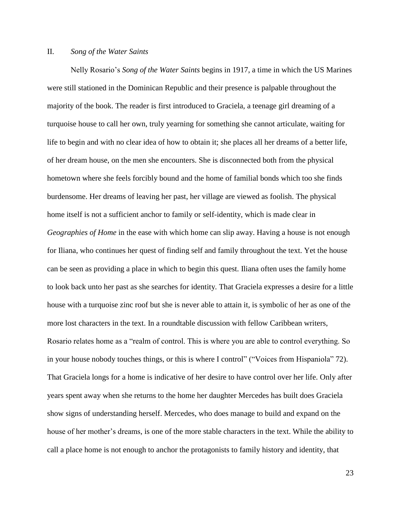#### II. *Song of the Water Saints*

Nelly Rosario's *Song of the Water Saints* begins in 1917, a time in which the US Marines were still stationed in the Dominican Republic and their presence is palpable throughout the majority of the book. The reader is first introduced to Graciela, a teenage girl dreaming of a turquoise house to call her own, truly yearning for something she cannot articulate, waiting for life to begin and with no clear idea of how to obtain it; she places all her dreams of a better life, of her dream house, on the men she encounters. She is disconnected both from the physical hometown where she feels forcibly bound and the home of familial bonds which too she finds burdensome. Her dreams of leaving her past, her village are viewed as foolish. The physical home itself is not a sufficient anchor to family or self-identity, which is made clear in *Geographies of Home* in the ease with which home can slip away. Having a house is not enough for Iliana, who continues her quest of finding self and family throughout the text. Yet the house can be seen as providing a place in which to begin this quest. Iliana often uses the family home to look back unto her past as she searches for identity. That Graciela expresses a desire for a little house with a turquoise zinc roof but she is never able to attain it, is symbolic of her as one of the more lost characters in the text. In a roundtable discussion with fellow Caribbean writers, Rosario relates home as a "realm of control. This is where you are able to control everything. So in your house nobody touches things, or this is where I control" ("Voices from Hispaniola" 72). That Graciela longs for a home is indicative of her desire to have control over her life. Only after years spent away when she returns to the home her daughter Mercedes has built does Graciela show signs of understanding herself. Mercedes, who does manage to build and expand on the house of her mother's dreams, is one of the more stable characters in the text. While the ability to call a place home is not enough to anchor the protagonists to family history and identity, that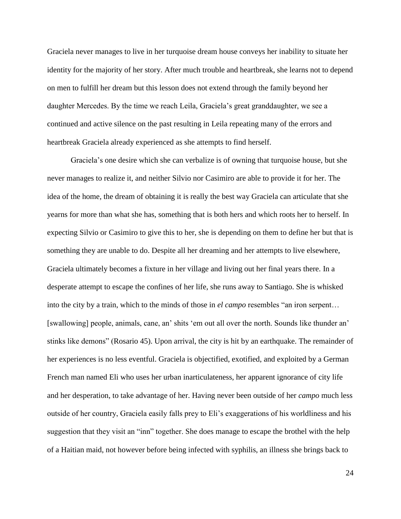Graciela never manages to live in her turquoise dream house conveys her inability to situate her identity for the majority of her story. After much trouble and heartbreak, she learns not to depend on men to fulfill her dream but this lesson does not extend through the family beyond her daughter Mercedes. By the time we reach Leila, Graciela's great granddaughter, we see a continued and active silence on the past resulting in Leila repeating many of the errors and heartbreak Graciela already experienced as she attempts to find herself.

Graciela's one desire which she can verbalize is of owning that turquoise house, but she never manages to realize it, and neither Silvio nor Casimiro are able to provide it for her. The idea of the home, the dream of obtaining it is really the best way Graciela can articulate that she yearns for more than what she has, something that is both hers and which roots her to herself. In expecting Silvio or Casimiro to give this to her, she is depending on them to define her but that is something they are unable to do. Despite all her dreaming and her attempts to live elsewhere, Graciela ultimately becomes a fixture in her village and living out her final years there. In a desperate attempt to escape the confines of her life, she runs away to Santiago. She is whisked into the city by a train, which to the minds of those in *el campo* resembles "an iron serpent… [swallowing] people, animals, cane, an' shits 'em out all over the north. Sounds like thunder an' stinks like demons" (Rosario 45). Upon arrival, the city is hit by an earthquake. The remainder of her experiences is no less eventful. Graciela is objectified, exotified, and exploited by a German French man named Eli who uses her urban inarticulateness, her apparent ignorance of city life and her desperation, to take advantage of her. Having never been outside of her *campo* much less outside of her country, Graciela easily falls prey to Eli's exaggerations of his worldliness and his suggestion that they visit an "inn" together. She does manage to escape the brothel with the help of a Haitian maid, not however before being infected with syphilis, an illness she brings back to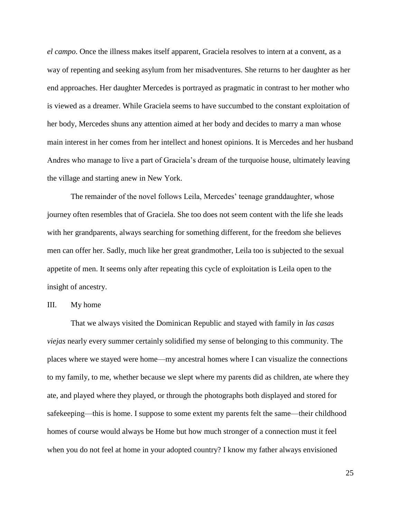*el campo*. Once the illness makes itself apparent, Graciela resolves to intern at a convent, as a way of repenting and seeking asylum from her misadventures. She returns to her daughter as her end approaches. Her daughter Mercedes is portrayed as pragmatic in contrast to her mother who is viewed as a dreamer. While Graciela seems to have succumbed to the constant exploitation of her body, Mercedes shuns any attention aimed at her body and decides to marry a man whose main interest in her comes from her intellect and honest opinions. It is Mercedes and her husband Andres who manage to live a part of Graciela's dream of the turquoise house, ultimately leaving the village and starting anew in New York.

The remainder of the novel follows Leila, Mercedes' teenage granddaughter, whose journey often resembles that of Graciela. She too does not seem content with the life she leads with her grandparents, always searching for something different, for the freedom she believes men can offer her. Sadly, much like her great grandmother, Leila too is subjected to the sexual appetite of men. It seems only after repeating this cycle of exploitation is Leila open to the insight of ancestry.

#### III. My home

That we always visited the Dominican Republic and stayed with family in *las casas viejas* nearly every summer certainly solidified my sense of belonging to this community. The places where we stayed were home—my ancestral homes where I can visualize the connections to my family, to me, whether because we slept where my parents did as children, ate where they ate, and played where they played, or through the photographs both displayed and stored for safekeeping—this is home. I suppose to some extent my parents felt the same—their childhood homes of course would always be Home but how much stronger of a connection must it feel when you do not feel at home in your adopted country? I know my father always envisioned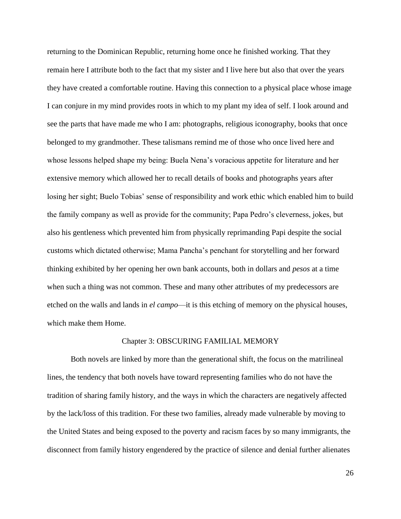returning to the Dominican Republic, returning home once he finished working. That they remain here I attribute both to the fact that my sister and I live here but also that over the years they have created a comfortable routine. Having this connection to a physical place whose image I can conjure in my mind provides roots in which to my plant my idea of self. I look around and see the parts that have made me who I am: photographs, religious iconography, books that once belonged to my grandmother. These talismans remind me of those who once lived here and whose lessons helped shape my being: Buela Nena's voracious appetite for literature and her extensive memory which allowed her to recall details of books and photographs years after losing her sight; Buelo Tobias' sense of responsibility and work ethic which enabled him to build the family company as well as provide for the community; Papa Pedro's cleverness, jokes, but also his gentleness which prevented him from physically reprimanding Papi despite the social customs which dictated otherwise; Mama Pancha's penchant for storytelling and her forward thinking exhibited by her opening her own bank accounts, both in dollars and *pesos* at a time when such a thing was not common. These and many other attributes of my predecessors are etched on the walls and lands in *el campo*—it is this etching of memory on the physical houses, which make them Home.

#### Chapter 3: OBSCURING FAMILIAL MEMORY

Both novels are linked by more than the generational shift, the focus on the matrilineal lines, the tendency that both novels have toward representing families who do not have the tradition of sharing family history, and the ways in which the characters are negatively affected by the lack/loss of this tradition. For these two families, already made vulnerable by moving to the United States and being exposed to the poverty and racism faces by so many immigrants, the disconnect from family history engendered by the practice of silence and denial further alienates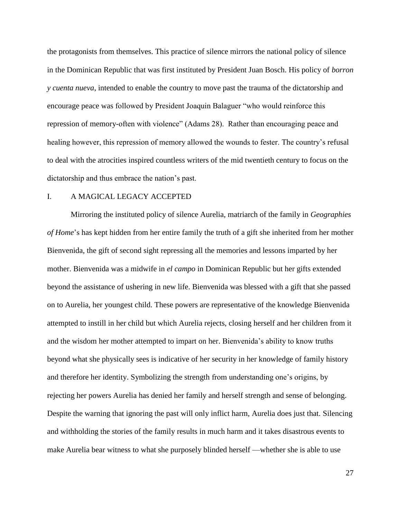the protagonists from themselves. This practice of silence mirrors the national policy of silence in the Dominican Republic that was first instituted by President Juan Bosch. His policy of *borron y cuenta nueva*, intended to enable the country to move past the trauma of the dictatorship and encourage peace was followed by President Joaquin Balaguer "who would reinforce this repression of memory-often with violence" (Adams 28). Rather than encouraging peace and healing however, this repression of memory allowed the wounds to fester. The country's refusal to deal with the atrocities inspired countless writers of the mid twentieth century to focus on the dictatorship and thus embrace the nation's past.

#### I. A MAGICAL LEGACY ACCEPTED

Mirroring the instituted policy of silence Aurelia, matriarch of the family in *Geographies of Home*'s has kept hidden from her entire family the truth of a gift she inherited from her mother Bienvenida, the gift of second sight repressing all the memories and lessons imparted by her mother. Bienvenida was a midwife in *el campo* in Dominican Republic but her gifts extended beyond the assistance of ushering in new life. Bienvenida was blessed with a gift that she passed on to Aurelia, her youngest child. These powers are representative of the knowledge Bienvenida attempted to instill in her child but which Aurelia rejects, closing herself and her children from it and the wisdom her mother attempted to impart on her. Bienvenida's ability to know truths beyond what she physically sees is indicative of her security in her knowledge of family history and therefore her identity. Symbolizing the strength from understanding one's origins, by rejecting her powers Aurelia has denied her family and herself strength and sense of belonging. Despite the warning that ignoring the past will only inflict harm, Aurelia does just that. Silencing and withholding the stories of the family results in much harm and it takes disastrous events to make Aurelia bear witness to what she purposely blinded herself —whether she is able to use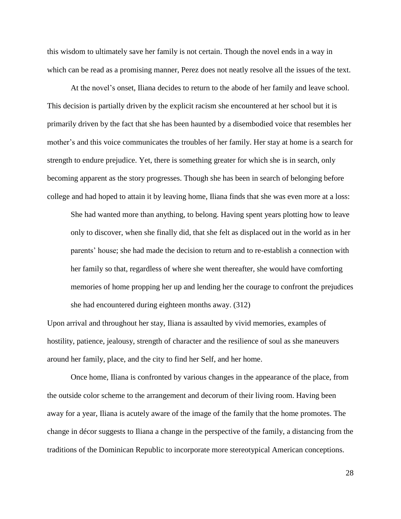this wisdom to ultimately save her family is not certain. Though the novel ends in a way in which can be read as a promising manner, Perez does not neatly resolve all the issues of the text.

At the novel's onset, Iliana decides to return to the abode of her family and leave school. This decision is partially driven by the explicit racism she encountered at her school but it is primarily driven by the fact that she has been haunted by a disembodied voice that resembles her mother's and this voice communicates the troubles of her family. Her stay at home is a search for strength to endure prejudice. Yet, there is something greater for which she is in search, only becoming apparent as the story progresses. Though she has been in search of belonging before college and had hoped to attain it by leaving home, Iliana finds that she was even more at a loss:

She had wanted more than anything, to belong. Having spent years plotting how to leave only to discover, when she finally did, that she felt as displaced out in the world as in her parents' house; she had made the decision to return and to re-establish a connection with her family so that, regardless of where she went thereafter, she would have comforting memories of home propping her up and lending her the courage to confront the prejudices she had encountered during eighteen months away. (312)

Upon arrival and throughout her stay, Iliana is assaulted by vivid memories, examples of hostility, patience, jealousy, strength of character and the resilience of soul as she maneuvers around her family, place, and the city to find her Self, and her home.

Once home, Iliana is confronted by various changes in the appearance of the place, from the outside color scheme to the arrangement and decorum of their living room. Having been away for a year, Iliana is acutely aware of the image of the family that the home promotes. The change in décor suggests to Iliana a change in the perspective of the family, a distancing from the traditions of the Dominican Republic to incorporate more stereotypical American conceptions.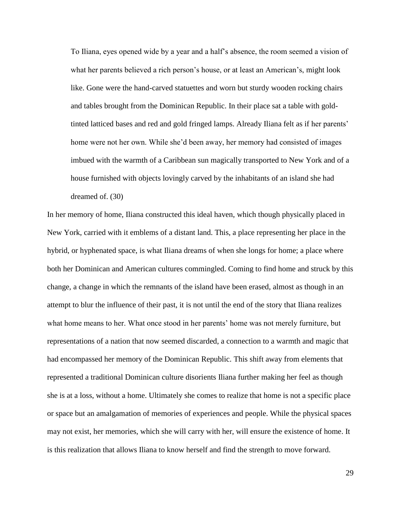To Iliana, eyes opened wide by a year and a half's absence, the room seemed a vision of what her parents believed a rich person's house, or at least an American's, might look like. Gone were the hand-carved statuettes and worn but sturdy wooden rocking chairs and tables brought from the Dominican Republic. In their place sat a table with goldtinted latticed bases and red and gold fringed lamps. Already Iliana felt as if her parents' home were not her own. While she'd been away, her memory had consisted of images imbued with the warmth of a Caribbean sun magically transported to New York and of a house furnished with objects lovingly carved by the inhabitants of an island she had dreamed of. (30)

In her memory of home, Iliana constructed this ideal haven, which though physically placed in New York, carried with it emblems of a distant land. This, a place representing her place in the hybrid, or hyphenated space, is what Iliana dreams of when she longs for home; a place where both her Dominican and American cultures commingled. Coming to find home and struck by this change, a change in which the remnants of the island have been erased, almost as though in an attempt to blur the influence of their past, it is not until the end of the story that Iliana realizes what home means to her. What once stood in her parents' home was not merely furniture, but representations of a nation that now seemed discarded, a connection to a warmth and magic that had encompassed her memory of the Dominican Republic. This shift away from elements that represented a traditional Dominican culture disorients Iliana further making her feel as though she is at a loss, without a home. Ultimately she comes to realize that home is not a specific place or space but an amalgamation of memories of experiences and people. While the physical spaces may not exist, her memories, which she will carry with her, will ensure the existence of home. It is this realization that allows Iliana to know herself and find the strength to move forward.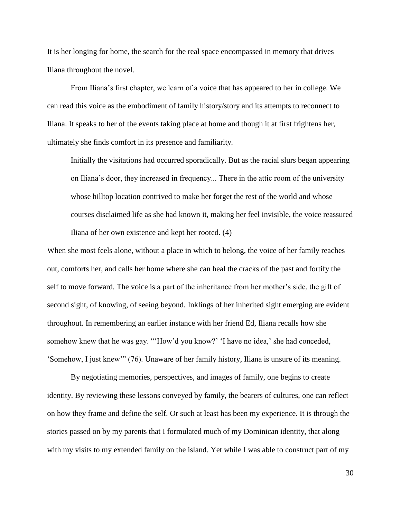It is her longing for home, the search for the real space encompassed in memory that drives Iliana throughout the novel.

From Iliana's first chapter, we learn of a voice that has appeared to her in college. We can read this voice as the embodiment of family history/story and its attempts to reconnect to Iliana. It speaks to her of the events taking place at home and though it at first frightens her, ultimately she finds comfort in its presence and familiarity.

Initially the visitations had occurred sporadically. But as the racial slurs began appearing on Iliana's door, they increased in frequency... There in the attic room of the university whose hilltop location contrived to make her forget the rest of the world and whose courses disclaimed life as she had known it, making her feel invisible, the voice reassured Iliana of her own existence and kept her rooted. (4)

When she most feels alone, without a place in which to belong, the voice of her family reaches out, comforts her, and calls her home where she can heal the cracks of the past and fortify the self to move forward. The voice is a part of the inheritance from her mother's side, the gift of second sight, of knowing, of seeing beyond. Inklings of her inherited sight emerging are evident throughout. In remembering an earlier instance with her friend Ed, Iliana recalls how she somehow knew that he was gay. "'How'd you know?' 'I have no idea,' she had conceded, 'Somehow, I just knew'" (76). Unaware of her family history, Iliana is unsure of its meaning.

By negotiating memories, perspectives, and images of family, one begins to create identity. By reviewing these lessons conveyed by family, the bearers of cultures, one can reflect on how they frame and define the self. Or such at least has been my experience. It is through the stories passed on by my parents that I formulated much of my Dominican identity, that along with my visits to my extended family on the island. Yet while I was able to construct part of my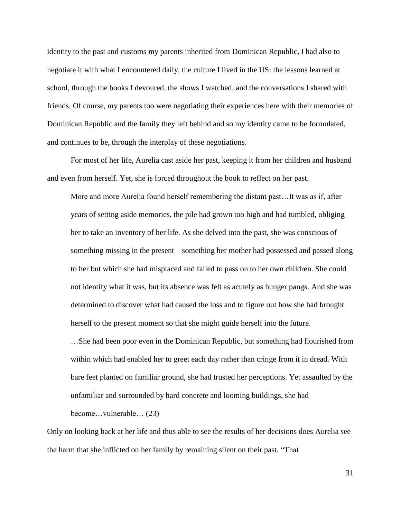identity to the past and customs my parents inherited from Dominican Republic, I had also to negotiate it with what I encountered daily, the culture I lived in the US: the lessons learned at school, through the books I devoured, the shows I watched, and the conversations I shared with friends. Of course, my parents too were negotiating their experiences here with their memories of Dominican Republic and the family they left behind and so my identity came to be formulated, and continues to be, through the interplay of these negotiations.

For most of her life, Aurelia cast aside her past, keeping it from her children and husband and even from herself. Yet, she is forced throughout the book to reflect on her past.

More and more Aurelia found herself remembering the distant past…It was as if, after years of setting aside memories, the pile had grown too high and had tumbled, obliging her to take an inventory of her life. As she delved into the past, she was conscious of something missing in the present—something her mother had possessed and passed along to her but which she had misplaced and failed to pass on to her own children. She could not identify what it was, but its absence was felt as acutely as hunger pangs. And she was determined to discover what had caused the loss and to figure out how she had brought herself to the present moment so that she might guide herself into the future.

…She had been poor even in the Dominican Republic, but something had flourished from within which had enabled her to greet each day rather than cringe from it in dread. With bare feet planted on familiar ground, she had trusted her perceptions. Yet assaulted by the unfamiliar and surrounded by hard concrete and looming buildings, she had

become…vulnerable… (23)

Only on looking back at her life and thus able to see the results of her decisions does Aurelia see the harm that she inflicted on her family by remaining silent on their past. "That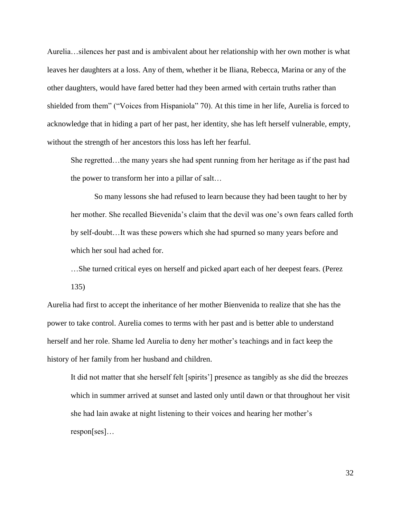Aurelia…silences her past and is ambivalent about her relationship with her own mother is what leaves her daughters at a loss. Any of them, whether it be Iliana, Rebecca, Marina or any of the other daughters, would have fared better had they been armed with certain truths rather than shielded from them" ("Voices from Hispaniola" 70). At this time in her life, Aurelia is forced to acknowledge that in hiding a part of her past, her identity, she has left herself vulnerable, empty, without the strength of her ancestors this loss has left her fearful.

She regretted…the many years she had spent running from her heritage as if the past had the power to transform her into a pillar of salt…

So many lessons she had refused to learn because they had been taught to her by her mother. She recalled Bievenida's claim that the devil was one's own fears called forth by self-doubt…It was these powers which she had spurned so many years before and which her soul had ached for.

…She turned critical eyes on herself and picked apart each of her deepest fears. (Perez

135)

Aurelia had first to accept the inheritance of her mother Bienvenida to realize that she has the power to take control. Aurelia comes to terms with her past and is better able to understand herself and her role. Shame led Aurelia to deny her mother's teachings and in fact keep the history of her family from her husband and children.

It did not matter that she herself felt [spirits'] presence as tangibly as she did the breezes which in summer arrived at sunset and lasted only until dawn or that throughout her visit she had lain awake at night listening to their voices and hearing her mother's respon[ses]…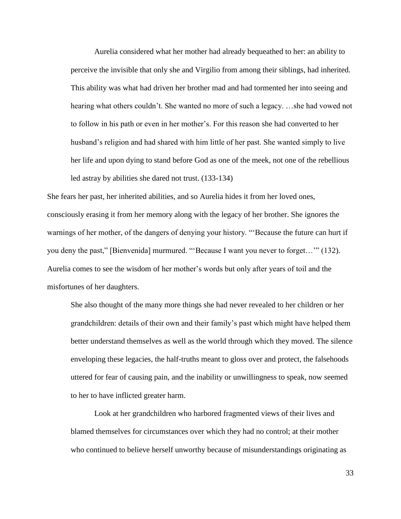Aurelia considered what her mother had already bequeathed to her: an ability to perceive the invisible that only she and Virgilio from among their siblings, had inherited. This ability was what had driven her brother mad and had tormented her into seeing and hearing what others couldn't. She wanted no more of such a legacy. …she had vowed not to follow in his path or even in her mother's. For this reason she had converted to her husband's religion and had shared with him little of her past. She wanted simply to live her life and upon dying to stand before God as one of the meek, not one of the rebellious led astray by abilities she dared not trust. (133-134)

She fears her past, her inherited abilities, and so Aurelia hides it from her loved ones, consciously erasing it from her memory along with the legacy of her brother. She ignores the warnings of her mother, of the dangers of denying your history. "'Because the future can hurt if you deny the past," [Bienvenida] murmured. "'Because I want you never to forget…'" (132). Aurelia comes to see the wisdom of her mother's words but only after years of toil and the misfortunes of her daughters.

She also thought of the many more things she had never revealed to her children or her grandchildren: details of their own and their family's past which might have helped them better understand themselves as well as the world through which they moved. The silence enveloping these legacies, the half-truths meant to gloss over and protect, the falsehoods uttered for fear of causing pain, and the inability or unwillingness to speak, now seemed to her to have inflicted greater harm.

Look at her grandchildren who harbored fragmented views of their lives and blamed themselves for circumstances over which they had no control; at their mother who continued to believe herself unworthy because of misunderstandings originating as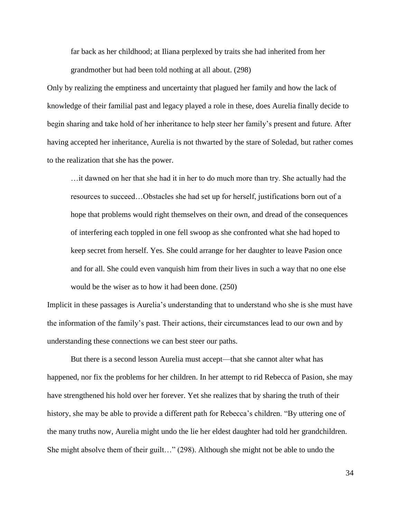far back as her childhood; at Iliana perplexed by traits she had inherited from her grandmother but had been told nothing at all about. (298)

Only by realizing the emptiness and uncertainty that plagued her family and how the lack of knowledge of their familial past and legacy played a role in these, does Aurelia finally decide to begin sharing and take hold of her inheritance to help steer her family's present and future. After having accepted her inheritance, Aurelia is not thwarted by the stare of Soledad, but rather comes to the realization that she has the power.

…it dawned on her that she had it in her to do much more than try. She actually had the resources to succeed…Obstacles she had set up for herself, justifications born out of a hope that problems would right themselves on their own, and dread of the consequences of interfering each toppled in one fell swoop as she confronted what she had hoped to keep secret from herself. Yes. She could arrange for her daughter to leave Pasion once and for all. She could even vanquish him from their lives in such a way that no one else would be the wiser as to how it had been done. (250)

Implicit in these passages is Aurelia's understanding that to understand who she is she must have the information of the family's past. Their actions, their circumstances lead to our own and by understanding these connections we can best steer our paths.

But there is a second lesson Aurelia must accept—that she cannot alter what has happened, nor fix the problems for her children. In her attempt to rid Rebecca of Pasion, she may have strengthened his hold over her forever. Yet she realizes that by sharing the truth of their history, she may be able to provide a different path for Rebecca's children. "By uttering one of the many truths now, Aurelia might undo the lie her eldest daughter had told her grandchildren. She might absolve them of their guilt…" (298). Although she might not be able to undo the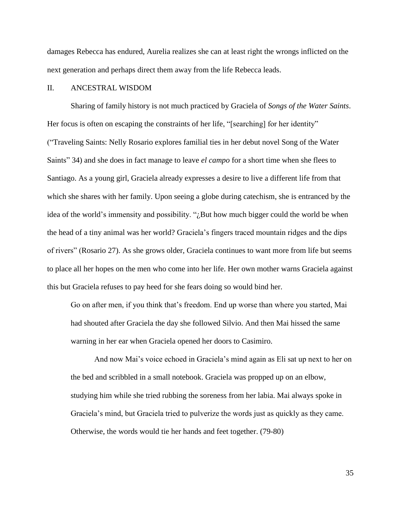damages Rebecca has endured, Aurelia realizes she can at least right the wrongs inflicted on the next generation and perhaps direct them away from the life Rebecca leads.

## II. ANCESTRAL WISDOM

Sharing of family history is not much practiced by Graciela of *Songs of the Water Saints*. Her focus is often on escaping the constraints of her life, "[searching] for her identity" ("Traveling Saints: Nelly Rosario explores familial ties in her debut novel Song of the Water Saints" 34) and she does in fact manage to leave *el campo* for a short time when she flees to Santiago. As a young girl, Graciela already expresses a desire to live a different life from that which she shares with her family. Upon seeing a globe during catechism, she is entranced by the idea of the world's immensity and possibility. " $\partial_{\alpha}$  But how much bigger could the world be when the head of a tiny animal was her world? Graciela's fingers traced mountain ridges and the dips of rivers" (Rosario 27). As she grows older, Graciela continues to want more from life but seems to place all her hopes on the men who come into her life. Her own mother warns Graciela against this but Graciela refuses to pay heed for she fears doing so would bind her.

Go on after men, if you think that's freedom. End up worse than where you started, Mai had shouted after Graciela the day she followed Silvio. And then Mai hissed the same warning in her ear when Graciela opened her doors to Casimiro.

And now Mai's voice echoed in Graciela's mind again as Eli sat up next to her on the bed and scribbled in a small notebook. Graciela was propped up on an elbow, studying him while she tried rubbing the soreness from her labia. Mai always spoke in Graciela's mind, but Graciela tried to pulverize the words just as quickly as they came. Otherwise, the words would tie her hands and feet together. (79-80)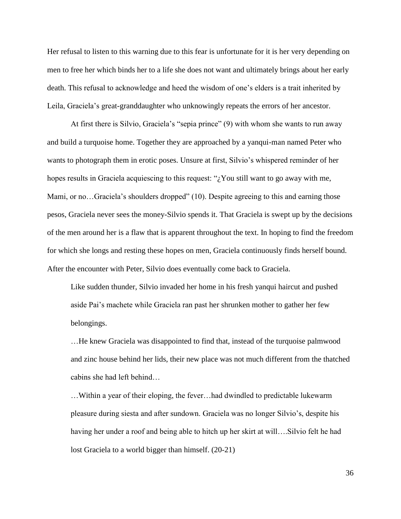Her refusal to listen to this warning due to this fear is unfortunate for it is her very depending on men to free her which binds her to a life she does not want and ultimately brings about her early death. This refusal to acknowledge and heed the wisdom of one's elders is a trait inherited by Leila, Graciela's great-granddaughter who unknowingly repeats the errors of her ancestor.

At first there is Silvio, Graciela's "sepia prince" (9) with whom she wants to run away and build a turquoise home. Together they are approached by a yanqui-man named Peter who wants to photograph them in erotic poses. Unsure at first, Silvio's whispered reminder of her hopes results in Graciela acquiescing to this request: "¿You still want to go away with me, Mami, or no…Graciela's shoulders dropped" (10). Despite agreeing to this and earning those pesos, Graciela never sees the money-Silvio spends it. That Graciela is swept up by the decisions of the men around her is a flaw that is apparent throughout the text. In hoping to find the freedom for which she longs and resting these hopes on men, Graciela continuously finds herself bound. After the encounter with Peter, Silvio does eventually come back to Graciela.

Like sudden thunder, Silvio invaded her home in his fresh yanqui haircut and pushed aside Pai's machete while Graciela ran past her shrunken mother to gather her few belongings.

…He knew Graciela was disappointed to find that, instead of the turquoise palmwood and zinc house behind her lids, their new place was not much different from the thatched cabins she had left behind…

…Within a year of their eloping, the fever…had dwindled to predictable lukewarm pleasure during siesta and after sundown. Graciela was no longer Silvio's, despite his having her under a roof and being able to hitch up her skirt at will….Silvio felt he had lost Graciela to a world bigger than himself. (20-21)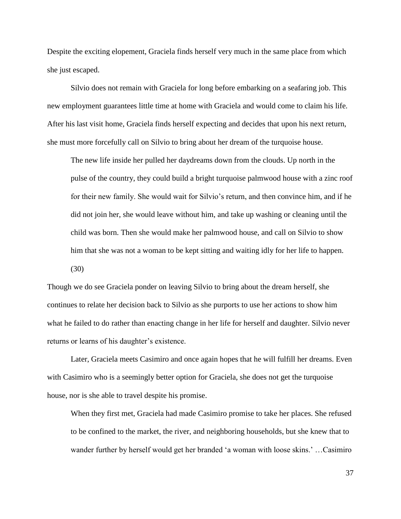Despite the exciting elopement, Graciela finds herself very much in the same place from which she just escaped.

Silvio does not remain with Graciela for long before embarking on a seafaring job. This new employment guarantees little time at home with Graciela and would come to claim his life. After his last visit home, Graciela finds herself expecting and decides that upon his next return, she must more forcefully call on Silvio to bring about her dream of the turquoise house.

The new life inside her pulled her daydreams down from the clouds. Up north in the pulse of the country, they could build a bright turquoise palmwood house with a zinc roof for their new family. She would wait for Silvio's return, and then convince him, and if he did not join her, she would leave without him, and take up washing or cleaning until the child was born. Then she would make her palmwood house, and call on Silvio to show him that she was not a woman to be kept sitting and waiting idly for her life to happen. (30)

Though we do see Graciela ponder on leaving Silvio to bring about the dream herself, she continues to relate her decision back to Silvio as she purports to use her actions to show him what he failed to do rather than enacting change in her life for herself and daughter. Silvio never returns or learns of his daughter's existence.

Later, Graciela meets Casimiro and once again hopes that he will fulfill her dreams. Even with Casimiro who is a seemingly better option for Graciela, she does not get the turquoise house, nor is she able to travel despite his promise.

When they first met, Graciela had made Casimiro promise to take her places. She refused to be confined to the market, the river, and neighboring households, but she knew that to wander further by herself would get her branded 'a woman with loose skins.' …Casimiro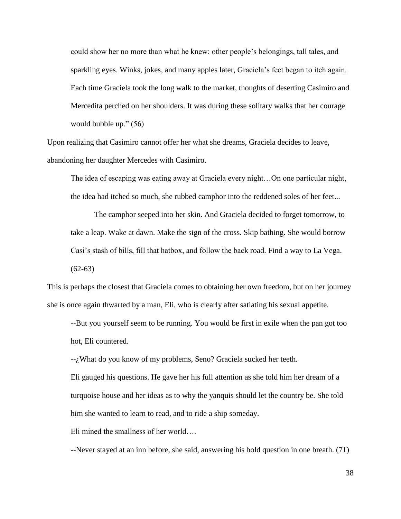could show her no more than what he knew: other people's belongings, tall tales, and sparkling eyes. Winks, jokes, and many apples later, Graciela's feet began to itch again. Each time Graciela took the long walk to the market, thoughts of deserting Casimiro and Mercedita perched on her shoulders. It was during these solitary walks that her courage would bubble up." (56)

Upon realizing that Casimiro cannot offer her what she dreams, Graciela decides to leave, abandoning her daughter Mercedes with Casimiro.

The idea of escaping was eating away at Graciela every night…On one particular night, the idea had itched so much, she rubbed camphor into the reddened soles of her feet...

The camphor seeped into her skin. And Graciela decided to forget tomorrow, to take a leap. Wake at dawn. Make the sign of the cross. Skip bathing. She would borrow Casi's stash of bills, fill that hatbox, and follow the back road. Find a way to La Vega.  $(62-63)$ 

This is perhaps the closest that Graciela comes to obtaining her own freedom, but on her journey she is once again thwarted by a man, Eli, who is clearly after satiating his sexual appetite.

--But you yourself seem to be running. You would be first in exile when the pan got too hot, Eli countered.

--¿What do you know of my problems, Seno? Graciela sucked her teeth.

Eli gauged his questions. He gave her his full attention as she told him her dream of a turquoise house and her ideas as to why the yanquis should let the country be. She told him she wanted to learn to read, and to ride a ship someday.

Eli mined the smallness of her world….

--Never stayed at an inn before, she said, answering his bold question in one breath. (71)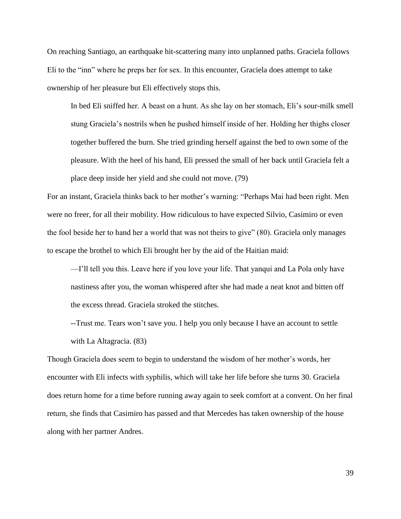On reaching Santiago, an earthquake hit-scattering many into unplanned paths. Graciela follows Eli to the "inn" where he preps her for sex. In this encounter, Graciela does attempt to take ownership of her pleasure but Eli effectively stops this.

In bed Eli sniffed her. A beast on a hunt. As she lay on her stomach, Eli's sour-milk smell stung Graciela's nostrils when he pushed himself inside of her. Holding her thighs closer together buffered the burn. She tried grinding herself against the bed to own some of the pleasure. With the heel of his hand, Eli pressed the small of her back until Graciela felt a place deep inside her yield and she could not move. (79)

For an instant, Graciela thinks back to her mother's warning: "Perhaps Mai had been right. Men were no freer, for all their mobility. How ridiculous to have expected Silvio, Casimiro or even the fool beside her to hand her a world that was not theirs to give" (80). Graciela only manages to escape the brothel to which Eli brought her by the aid of the Haitian maid:

—I'll tell you this. Leave here if you love your life. That yanqui and La Pola only have nastiness after you, the woman whispered after she had made a neat knot and bitten off the excess thread. Graciela stroked the stitches.

--Trust me. Tears won't save you. I help you only because I have an account to settle with La Altagracia. (83)

Though Graciela does seem to begin to understand the wisdom of her mother's words, her encounter with Eli infects with syphilis, which will take her life before she turns 30. Graciela does return home for a time before running away again to seek comfort at a convent. On her final return, she finds that Casimiro has passed and that Mercedes has taken ownership of the house along with her partner Andres.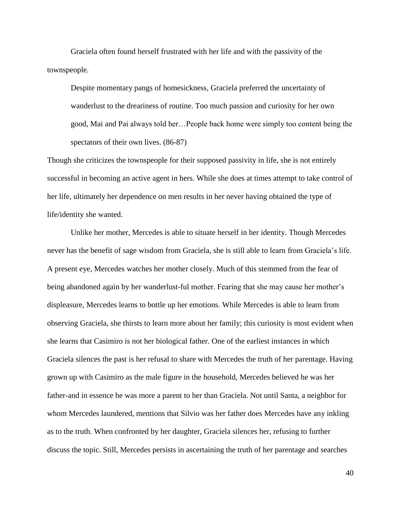Graciela often found herself frustrated with her life and with the passivity of the townspeople.

Despite momentary pangs of homesickness, Graciela preferred the uncertainty of wanderlust to the dreariness of routine. Too much passion and curiosity for her own good, Mai and Pai always told her…People back home were simply too content being the spectators of their own lives. (86-87)

Though she criticizes the townspeople for their supposed passivity in life, she is not entirely successful in becoming an active agent in hers. While she does at times attempt to take control of her life, ultimately her dependence on men results in her never having obtained the type of life/identity she wanted.

Unlike her mother, Mercedes is able to situate herself in her identity. Though Mercedes never has the benefit of sage wisdom from Graciela, she is still able to learn from Graciela's life. A present eye, Mercedes watches her mother closely. Much of this stemmed from the fear of being abandoned again by her wanderlust-ful mother. Fearing that she may cause her mother's displeasure, Mercedes learns to bottle up her emotions. While Mercedes is able to learn from observing Graciela, she thirsts to learn more about her family; this curiosity is most evident when she learns that Casimiro is not her biological father. One of the earliest instances in which Graciela silences the past is her refusal to share with Mercedes the truth of her parentage. Having grown up with Casimiro as the male figure in the household, Mercedes believed he was her father-and in essence he was more a parent to her than Graciela. Not until Santa, a neighbor for whom Mercedes laundered, mentions that Silvio was her father does Mercedes have any inkling as to the truth. When confronted by her daughter, Graciela silences her, refusing to further discuss the topic. Still, Mercedes persists in ascertaining the truth of her parentage and searches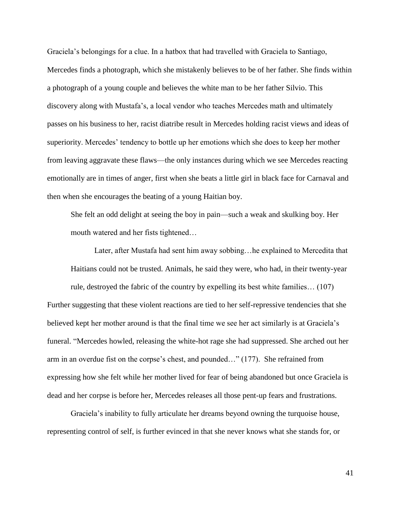Graciela's belongings for a clue. In a hatbox that had travelled with Graciela to Santiago, Mercedes finds a photograph, which she mistakenly believes to be of her father. She finds within a photograph of a young couple and believes the white man to be her father Silvio. This discovery along with Mustafa's, a local vendor who teaches Mercedes math and ultimately passes on his business to her, racist diatribe result in Mercedes holding racist views and ideas of superiority. Mercedes' tendency to bottle up her emotions which she does to keep her mother from leaving aggravate these flaws—the only instances during which we see Mercedes reacting emotionally are in times of anger, first when she beats a little girl in black face for Carnaval and then when she encourages the beating of a young Haitian boy.

She felt an odd delight at seeing the boy in pain—such a weak and skulking boy. Her mouth watered and her fists tightened…

Later, after Mustafa had sent him away sobbing…he explained to Mercedita that Haitians could not be trusted. Animals, he said they were, who had, in their twenty-year rule, destroyed the fabric of the country by expelling its best white families… (107) Further suggesting that these violent reactions are tied to her self-repressive tendencies that she believed kept her mother around is that the final time we see her act similarly is at Graciela's funeral. "Mercedes howled, releasing the white-hot rage she had suppressed. She arched out her arm in an overdue fist on the corpse's chest, and pounded…" (177). She refrained from expressing how she felt while her mother lived for fear of being abandoned but once Graciela is dead and her corpse is before her, Mercedes releases all those pent-up fears and frustrations.

Graciela's inability to fully articulate her dreams beyond owning the turquoise house, representing control of self, is further evinced in that she never knows what she stands for, or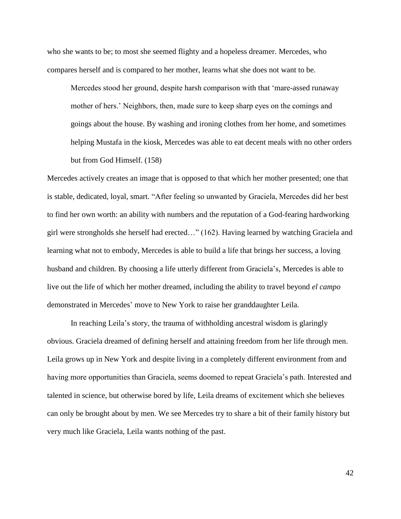who she wants to be; to most she seemed flighty and a hopeless dreamer. Mercedes, who compares herself and is compared to her mother, learns what she does not want to be.

Mercedes stood her ground, despite harsh comparison with that 'mare-assed runaway mother of hers.' Neighbors, then, made sure to keep sharp eyes on the comings and goings about the house. By washing and ironing clothes from her home, and sometimes helping Mustafa in the kiosk, Mercedes was able to eat decent meals with no other orders but from God Himself. (158)

Mercedes actively creates an image that is opposed to that which her mother presented; one that is stable, dedicated, loyal, smart. "After feeling so unwanted by Graciela, Mercedes did her best to find her own worth: an ability with numbers and the reputation of a God-fearing hardworking girl were strongholds she herself had erected…" (162). Having learned by watching Graciela and learning what not to embody, Mercedes is able to build a life that brings her success, a loving husband and children. By choosing a life utterly different from Graciela's, Mercedes is able to live out the life of which her mother dreamed, including the ability to travel beyond *el campo* demonstrated in Mercedes' move to New York to raise her granddaughter Leila.

In reaching Leila's story, the trauma of withholding ancestral wisdom is glaringly obvious. Graciela dreamed of defining herself and attaining freedom from her life through men. Leila grows up in New York and despite living in a completely different environment from and having more opportunities than Graciela, seems doomed to repeat Graciela's path. Interested and talented in science, but otherwise bored by life, Leila dreams of excitement which she believes can only be brought about by men. We see Mercedes try to share a bit of their family history but very much like Graciela, Leila wants nothing of the past.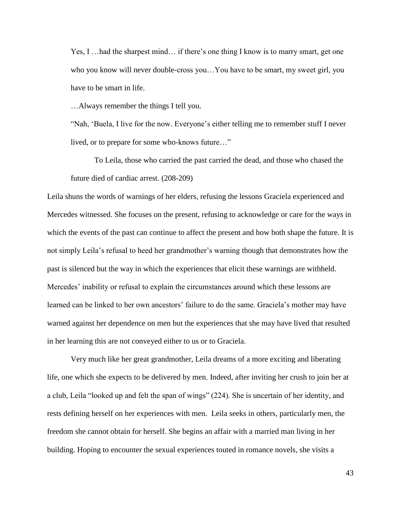Yes, I …had the sharpest mind… if there's one thing I know is to marry smart, get one who you know will never double-cross you…You have to be smart, my sweet girl, you have to be smart in life.

…Always remember the things I tell you.

"Nah, 'Buela, I live for the now. Everyone's either telling me to remember stuff I never lived, or to prepare for some who-knows future…"

To Leila, those who carried the past carried the dead, and those who chased the future died of cardiac arrest. (208-209)

Leila shuns the words of warnings of her elders, refusing the lessons Graciela experienced and Mercedes witnessed. She focuses on the present, refusing to acknowledge or care for the ways in which the events of the past can continue to affect the present and how both shape the future. It is not simply Leila's refusal to heed her grandmother's warning though that demonstrates how the past is silenced but the way in which the experiences that elicit these warnings are withheld. Mercedes' inability or refusal to explain the circumstances around which these lessons are learned can be linked to her own ancestors' failure to do the same. Graciela's mother may have warned against her dependence on men but the experiences that she may have lived that resulted in her learning this are not conveyed either to us or to Graciela.

Very much like her great grandmother, Leila dreams of a more exciting and liberating life, one which she expects to be delivered by men. Indeed, after inviting her crush to join her at a club, Leila "looked up and felt the span of wings" (224). She is uncertain of her identity, and rests defining herself on her experiences with men. Leila seeks in others, particularly men, the freedom she cannot obtain for herself. She begins an affair with a married man living in her building. Hoping to encounter the sexual experiences touted in romance novels, she visits a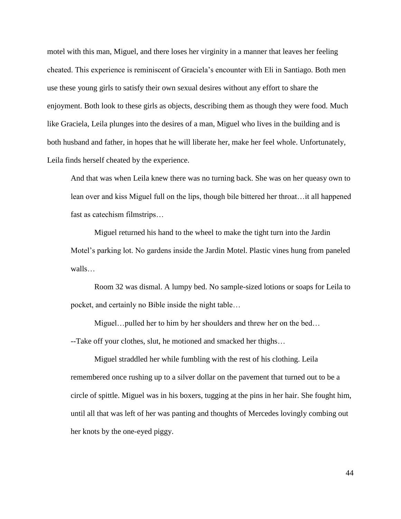motel with this man, Miguel, and there loses her virginity in a manner that leaves her feeling cheated. This experience is reminiscent of Graciela's encounter with Eli in Santiago. Both men use these young girls to satisfy their own sexual desires without any effort to share the enjoyment. Both look to these girls as objects, describing them as though they were food. Much like Graciela, Leila plunges into the desires of a man, Miguel who lives in the building and is both husband and father, in hopes that he will liberate her, make her feel whole. Unfortunately, Leila finds herself cheated by the experience.

And that was when Leila knew there was no turning back. She was on her queasy own to lean over and kiss Miguel full on the lips, though bile bittered her throat…it all happened fast as catechism filmstrips…

Miguel returned his hand to the wheel to make the tight turn into the Jardin Motel's parking lot. No gardens inside the Jardin Motel. Plastic vines hung from paneled walls…

Room 32 was dismal. A lumpy bed. No sample-sized lotions or soaps for Leila to pocket, and certainly no Bible inside the night table…

Miguel…pulled her to him by her shoulders and threw her on the bed… --Take off your clothes, slut, he motioned and smacked her thighs…

Miguel straddled her while fumbling with the rest of his clothing. Leila remembered once rushing up to a silver dollar on the pavement that turned out to be a circle of spittle. Miguel was in his boxers, tugging at the pins in her hair. She fought him, until all that was left of her was panting and thoughts of Mercedes lovingly combing out her knots by the one-eyed piggy.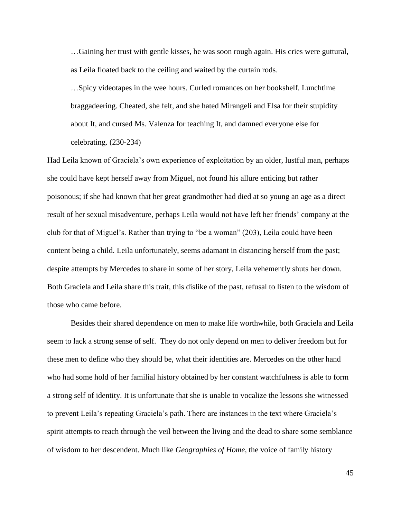…Gaining her trust with gentle kisses, he was soon rough again. His cries were guttural, as Leila floated back to the ceiling and waited by the curtain rods.

…Spicy videotapes in the wee hours. Curled romances on her bookshelf. Lunchtime braggadeering. Cheated, she felt, and she hated Mirangeli and Elsa for their stupidity about It, and cursed Ms. Valenza for teaching It, and damned everyone else for celebrating. (230-234)

Had Leila known of Graciela's own experience of exploitation by an older, lustful man, perhaps she could have kept herself away from Miguel, not found his allure enticing but rather poisonous; if she had known that her great grandmother had died at so young an age as a direct result of her sexual misadventure, perhaps Leila would not have left her friends' company at the club for that of Miguel's. Rather than trying to "be a woman" (203), Leila could have been content being a child. Leila unfortunately, seems adamant in distancing herself from the past; despite attempts by Mercedes to share in some of her story, Leila vehemently shuts her down. Both Graciela and Leila share this trait, this dislike of the past, refusal to listen to the wisdom of those who came before.

Besides their shared dependence on men to make life worthwhile, both Graciela and Leila seem to lack a strong sense of self. They do not only depend on men to deliver freedom but for these men to define who they should be, what their identities are. Mercedes on the other hand who had some hold of her familial history obtained by her constant watchfulness is able to form a strong self of identity. It is unfortunate that she is unable to vocalize the lessons she witnessed to prevent Leila's repeating Graciela's path. There are instances in the text where Graciela's spirit attempts to reach through the veil between the living and the dead to share some semblance of wisdom to her descendent. Much like *Geographies of Home*, the voice of family history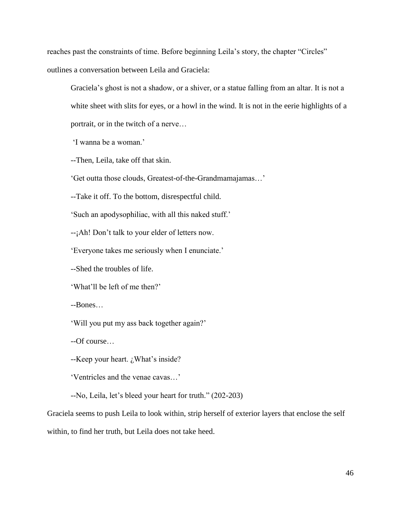reaches past the constraints of time. Before beginning Leila's story, the chapter "Circles" outlines a conversation between Leila and Graciela:

Graciela's ghost is not a shadow, or a shiver, or a statue falling from an altar. It is not a white sheet with slits for eyes, or a howl in the wind. It is not in the eerie highlights of a portrait, or in the twitch of a nerve…

'I wanna be a woman.'

--Then, Leila, take off that skin.

'Get outta those clouds, Greatest-of-the-Grandmamajamas…'

--Take it off. To the bottom, disrespectful child.

'Such an apodysophiliac, with all this naked stuff.'

--¡Ah! Don't talk to your elder of letters now.

'Everyone takes me seriously when I enunciate.'

--Shed the troubles of life.

'What'll be left of me then?'

--Bones…

'Will you put my ass back together again?'

--Of course…

--Keep your heart. ¿What's inside?

'Ventricles and the venae cavas…'

--No, Leila, let's bleed your heart for truth." (202-203)

Graciela seems to push Leila to look within, strip herself of exterior layers that enclose the self within, to find her truth, but Leila does not take heed.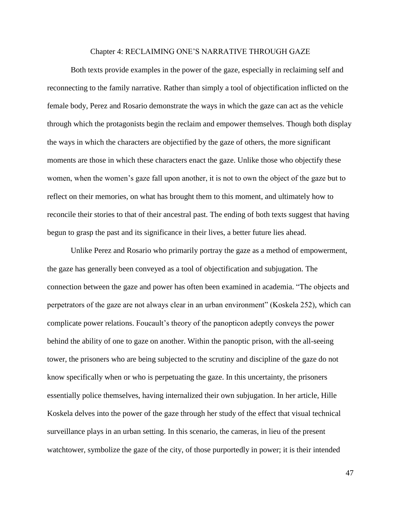## Chapter 4: RECLAIMING ONE'S NARRATIVE THROUGH GAZE

Both texts provide examples in the power of the gaze, especially in reclaiming self and reconnecting to the family narrative. Rather than simply a tool of objectification inflicted on the female body, Perez and Rosario demonstrate the ways in which the gaze can act as the vehicle through which the protagonists begin the reclaim and empower themselves. Though both display the ways in which the characters are objectified by the gaze of others, the more significant moments are those in which these characters enact the gaze. Unlike those who objectify these women, when the women's gaze fall upon another, it is not to own the object of the gaze but to reflect on their memories, on what has brought them to this moment, and ultimately how to reconcile their stories to that of their ancestral past. The ending of both texts suggest that having begun to grasp the past and its significance in their lives, a better future lies ahead.

Unlike Perez and Rosario who primarily portray the gaze as a method of empowerment, the gaze has generally been conveyed as a tool of objectification and subjugation. The connection between the gaze and power has often been examined in academia. "The objects and perpetrators of the gaze are not always clear in an urban environment" (Koskela 252), which can complicate power relations. Foucault's theory of the panopticon adeptly conveys the power behind the ability of one to gaze on another. Within the panoptic prison, with the all-seeing tower, the prisoners who are being subjected to the scrutiny and discipline of the gaze do not know specifically when or who is perpetuating the gaze. In this uncertainty, the prisoners essentially police themselves, having internalized their own subjugation. In her article, Hille Koskela delves into the power of the gaze through her study of the effect that visual technical surveillance plays in an urban setting. In this scenario, the cameras, in lieu of the present watchtower, symbolize the gaze of the city, of those purportedly in power; it is their intended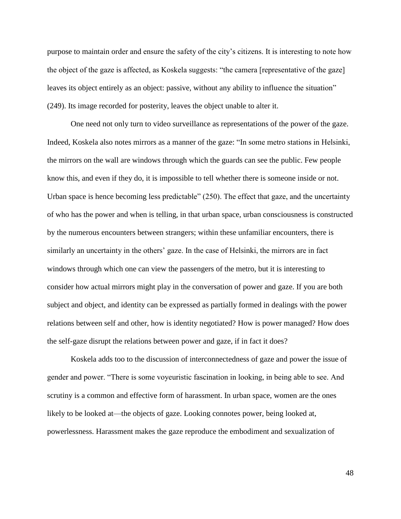purpose to maintain order and ensure the safety of the city's citizens. It is interesting to note how the object of the gaze is affected, as Koskela suggests: "the camera [representative of the gaze] leaves its object entirely as an object: passive, without any ability to influence the situation" (249). Its image recorded for posterity, leaves the object unable to alter it.

One need not only turn to video surveillance as representations of the power of the gaze. Indeed, Koskela also notes mirrors as a manner of the gaze: "In some metro stations in Helsinki, the mirrors on the wall are windows through which the guards can see the public. Few people know this, and even if they do, it is impossible to tell whether there is someone inside or not. Urban space is hence becoming less predictable" (250). The effect that gaze, and the uncertainty of who has the power and when is telling, in that urban space, urban consciousness is constructed by the numerous encounters between strangers; within these unfamiliar encounters, there is similarly an uncertainty in the others' gaze. In the case of Helsinki, the mirrors are in fact windows through which one can view the passengers of the metro, but it is interesting to consider how actual mirrors might play in the conversation of power and gaze. If you are both subject and object, and identity can be expressed as partially formed in dealings with the power relations between self and other, how is identity negotiated? How is power managed? How does the self-gaze disrupt the relations between power and gaze, if in fact it does?

Koskela adds too to the discussion of interconnectedness of gaze and power the issue of gender and power. "There is some voyeuristic fascination in looking, in being able to see. And scrutiny is a common and effective form of harassment. In urban space, women are the ones likely to be looked at—the objects of gaze. Looking connotes power, being looked at, powerlessness. Harassment makes the gaze reproduce the embodiment and sexualization of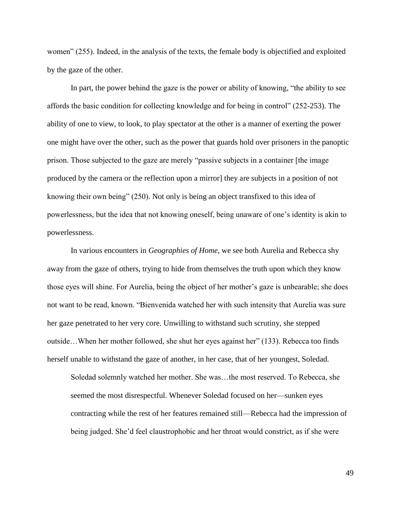women" (255). Indeed, in the analysis of the texts, the female body is objectified and exploited by the gaze of the other.

In part, the power behind the gaze is the power or ability of knowing, "the ability to see affords the basic condition for collecting knowledge and for being in control" (252-253). The ability of one to view, to look, to play spectator at the other is a manner of exerting the power one might have over the other, such as the power that guards hold over prisoners in the panoptic prison. Those subjected to the gaze are merely "passive subjects in a container [the image produced by the camera or the reflection upon a mirror] they are subjects in a position of not knowing their own being" (250). Not only is being an object transfixed to this idea of powerlessness, but the idea that not knowing oneself, being unaware of one's identity is akin to powerlessness.

In various encounters in *Geographies of Home*, we see both Aurelia and Rebecca shy away from the gaze of others, trying to hide from themselves the truth upon which they know those eyes will shine. For Aurelia, being the object of her mother's gaze is unbearable; she does not want to be read, known. "Bienvenida watched her with such intensity that Aurelia was sure her gaze penetrated to her very core. Unwilling to withstand such scrutiny, she stepped outside…When her mother followed, she shut her eyes against her" (133). Rebecca too finds herself unable to withstand the gaze of another, in her case, that of her youngest, Soledad.

Soledad solemnly watched her mother. She was…the most reserved. To Rebecca, she seemed the most disrespectful. Whenever Soledad focused on her—sunken eyes contracting while the rest of her features remained still—Rebecca had the impression of being judged. She'd feel claustrophobic and her throat would constrict, as if she were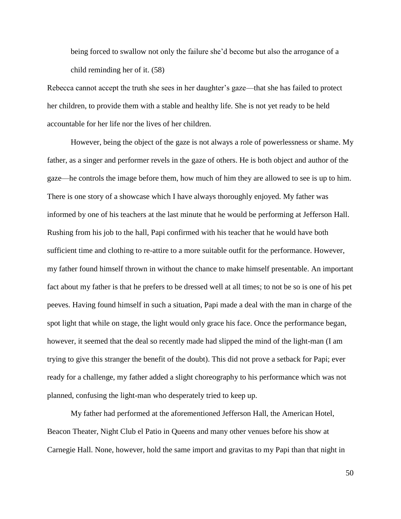being forced to swallow not only the failure she'd become but also the arrogance of a child reminding her of it. (58)

Rebecca cannot accept the truth she sees in her daughter's gaze—that she has failed to protect her children, to provide them with a stable and healthy life. She is not yet ready to be held accountable for her life nor the lives of her children.

However, being the object of the gaze is not always a role of powerlessness or shame. My father, as a singer and performer revels in the gaze of others. He is both object and author of the gaze—he controls the image before them, how much of him they are allowed to see is up to him. There is one story of a showcase which I have always thoroughly enjoyed. My father was informed by one of his teachers at the last minute that he would be performing at Jefferson Hall. Rushing from his job to the hall, Papi confirmed with his teacher that he would have both sufficient time and clothing to re-attire to a more suitable outfit for the performance. However, my father found himself thrown in without the chance to make himself presentable. An important fact about my father is that he prefers to be dressed well at all times; to not be so is one of his pet peeves. Having found himself in such a situation, Papi made a deal with the man in charge of the spot light that while on stage, the light would only grace his face. Once the performance began, however, it seemed that the deal so recently made had slipped the mind of the light-man (I am trying to give this stranger the benefit of the doubt). This did not prove a setback for Papi; ever ready for a challenge, my father added a slight choreography to his performance which was not planned, confusing the light-man who desperately tried to keep up.

My father had performed at the aforementioned Jefferson Hall, the American Hotel, Beacon Theater, Night Club el Patio in Queens and many other venues before his show at Carnegie Hall. None, however, hold the same import and gravitas to my Papi than that night in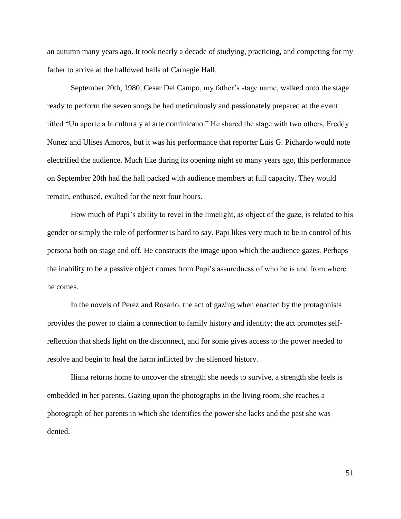an autumn many years ago. It took nearly a decade of studying, practicing, and competing for my father to arrive at the hallowed halls of Carnegie Hall.

September 20th, 1980, Cesar Del Campo, my father's stage name, walked onto the stage ready to perform the seven songs he had meticulously and passionately prepared at the event titled "Un aporte a la cultura y al arte dominicano." He shared the stage with two others, Freddy Nunez and Ulises Amoros, but it was his performance that reporter Luis G. Pichardo would note electrified the audience. Much like during its opening night so many years ago, this performance on September 20th had the hall packed with audience members at full capacity. They would remain, enthused, exulted for the next four hours.

How much of Papi's ability to revel in the limelight, as object of the gaze, is related to his gender or simply the role of performer is hard to say. Papi likes very much to be in control of his persona both on stage and off. He constructs the image upon which the audience gazes. Perhaps the inability to be a passive object comes from Papi's assuredness of who he is and from where he comes.

In the novels of Perez and Rosario, the act of gazing when enacted by the protagonists provides the power to claim a connection to family history and identity; the act promotes selfreflection that sheds light on the disconnect, and for some gives access to the power needed to resolve and begin to heal the harm inflicted by the silenced history.

Iliana returns home to uncover the strength she needs to survive, a strength she feels is embedded in her parents. Gazing upon the photographs in the living room, she reaches a photograph of her parents in which she identifies the power she lacks and the past she was denied.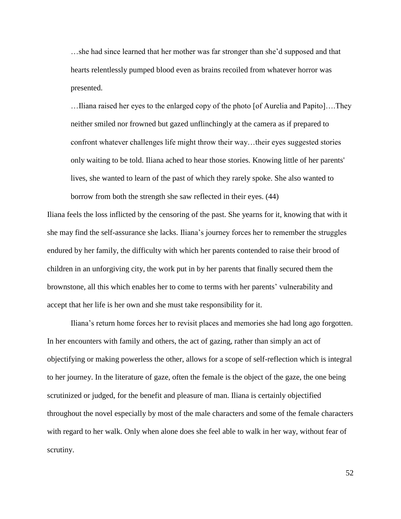…she had since learned that her mother was far stronger than she'd supposed and that hearts relentlessly pumped blood even as brains recoiled from whatever horror was presented.

…Iliana raised her eyes to the enlarged copy of the photo [of Aurelia and Papito]….They neither smiled nor frowned but gazed unflinchingly at the camera as if prepared to confront whatever challenges life might throw their way…their eyes suggested stories only waiting to be told. Iliana ached to hear those stories. Knowing little of her parents' lives, she wanted to learn of the past of which they rarely spoke. She also wanted to borrow from both the strength she saw reflected in their eyes. (44)

Iliana feels the loss inflicted by the censoring of the past. She yearns for it, knowing that with it she may find the self-assurance she lacks. Iliana's journey forces her to remember the struggles endured by her family, the difficulty with which her parents contended to raise their brood of children in an unforgiving city, the work put in by her parents that finally secured them the brownstone, all this which enables her to come to terms with her parents' vulnerability and accept that her life is her own and she must take responsibility for it.

Iliana's return home forces her to revisit places and memories she had long ago forgotten. In her encounters with family and others, the act of gazing, rather than simply an act of objectifying or making powerless the other, allows for a scope of self-reflection which is integral to her journey. In the literature of gaze, often the female is the object of the gaze, the one being scrutinized or judged, for the benefit and pleasure of man. Iliana is certainly objectified throughout the novel especially by most of the male characters and some of the female characters with regard to her walk. Only when alone does she feel able to walk in her way, without fear of scrutiny.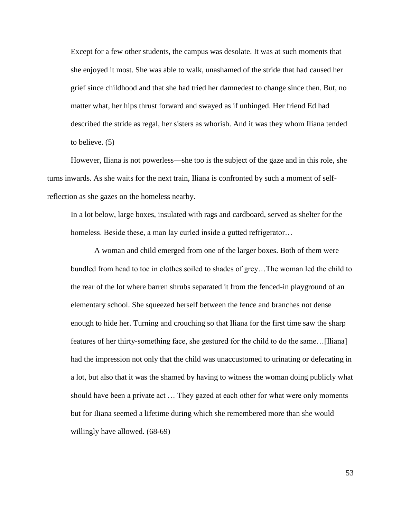Except for a few other students, the campus was desolate. It was at such moments that she enjoyed it most. She was able to walk, unashamed of the stride that had caused her grief since childhood and that she had tried her damnedest to change since then. But, no matter what, her hips thrust forward and swayed as if unhinged. Her friend Ed had described the stride as regal, her sisters as whorish. And it was they whom Iliana tended to believe. (5)

However, Iliana is not powerless—she too is the subject of the gaze and in this role, she turns inwards. As she waits for the next train, Iliana is confronted by such a moment of selfreflection as she gazes on the homeless nearby.

In a lot below, large boxes, insulated with rags and cardboard, served as shelter for the homeless. Beside these, a man lay curled inside a gutted refrigerator...

A woman and child emerged from one of the larger boxes. Both of them were bundled from head to toe in clothes soiled to shades of grey…The woman led the child to the rear of the lot where barren shrubs separated it from the fenced-in playground of an elementary school. She squeezed herself between the fence and branches not dense enough to hide her. Turning and crouching so that Iliana for the first time saw the sharp features of her thirty-something face, she gestured for the child to do the same…[Iliana] had the impression not only that the child was unaccustomed to urinating or defecating in a lot, but also that it was the shamed by having to witness the woman doing publicly what should have been a private act … They gazed at each other for what were only moments but for Iliana seemed a lifetime during which she remembered more than she would willingly have allowed. (68-69)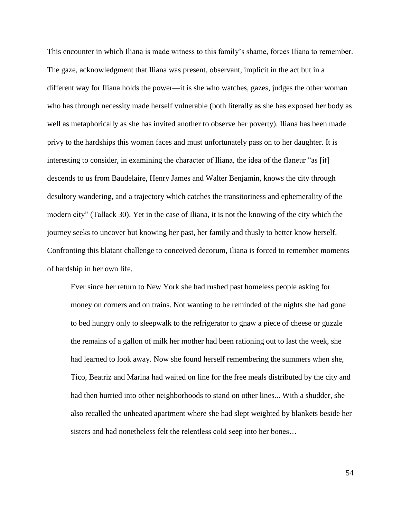This encounter in which Iliana is made witness to this family's shame, forces Iliana to remember. The gaze, acknowledgment that Iliana was present, observant, implicit in the act but in a different way for Iliana holds the power—it is she who watches, gazes, judges the other woman who has through necessity made herself vulnerable (both literally as she has exposed her body as well as metaphorically as she has invited another to observe her poverty). Iliana has been made privy to the hardships this woman faces and must unfortunately pass on to her daughter. It is interesting to consider, in examining the character of Iliana, the idea of the flaneur "as [it] descends to us from Baudelaire, Henry James and Walter Benjamin, knows the city through desultory wandering, and a trajectory which catches the transitoriness and ephemerality of the modern city" (Tallack 30). Yet in the case of Iliana, it is not the knowing of the city which the journey seeks to uncover but knowing her past, her family and thusly to better know herself. Confronting this blatant challenge to conceived decorum, Iliana is forced to remember moments of hardship in her own life.

Ever since her return to New York she had rushed past homeless people asking for money on corners and on trains. Not wanting to be reminded of the nights she had gone to bed hungry only to sleepwalk to the refrigerator to gnaw a piece of cheese or guzzle the remains of a gallon of milk her mother had been rationing out to last the week, she had learned to look away. Now she found herself remembering the summers when she, Tico, Beatriz and Marina had waited on line for the free meals distributed by the city and had then hurried into other neighborhoods to stand on other lines... With a shudder, she also recalled the unheated apartment where she had slept weighted by blankets beside her sisters and had nonetheless felt the relentless cold seep into her bones…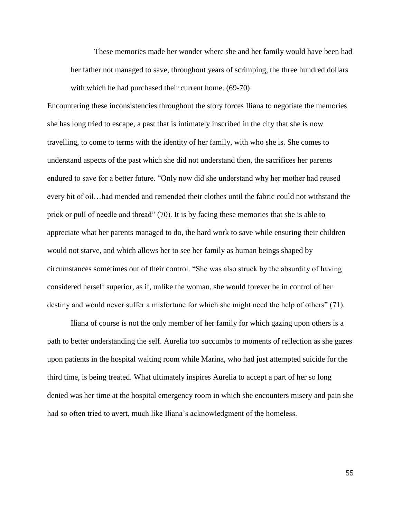These memories made her wonder where she and her family would have been had her father not managed to save, throughout years of scrimping, the three hundred dollars with which he had purchased their current home. (69-70)

Encountering these inconsistencies throughout the story forces Iliana to negotiate the memories she has long tried to escape, a past that is intimately inscribed in the city that she is now travelling, to come to terms with the identity of her family, with who she is. She comes to understand aspects of the past which she did not understand then, the sacrifices her parents endured to save for a better future. "Only now did she understand why her mother had reused every bit of oil…had mended and remended their clothes until the fabric could not withstand the prick or pull of needle and thread" (70). It is by facing these memories that she is able to appreciate what her parents managed to do, the hard work to save while ensuring their children would not starve, and which allows her to see her family as human beings shaped by circumstances sometimes out of their control. "She was also struck by the absurdity of having considered herself superior, as if, unlike the woman, she would forever be in control of her destiny and would never suffer a misfortune for which she might need the help of others" (71).

Iliana of course is not the only member of her family for which gazing upon others is a path to better understanding the self. Aurelia too succumbs to moments of reflection as she gazes upon patients in the hospital waiting room while Marina, who had just attempted suicide for the third time, is being treated. What ultimately inspires Aurelia to accept a part of her so long denied was her time at the hospital emergency room in which she encounters misery and pain she had so often tried to avert, much like Iliana's acknowledgment of the homeless.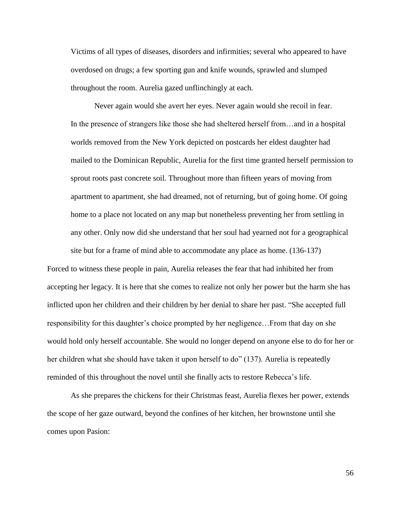Victims of all types of diseases, disorders and infirmities; several who appeared to have overdosed on drugs; a few sporting gun and knife wounds, sprawled and slumped throughout the room. Aurelia gazed unflinchingly at each.

Never again would she avert her eyes. Never again would she recoil in fear. In the presence of strangers like those she had sheltered herself from…and in a hospital worlds removed from the New York depicted on postcards her eldest daughter had mailed to the Dominican Republic, Aurelia for the first time granted herself permission to sprout roots past concrete soil. Throughout more than fifteen years of moving from apartment to apartment, she had dreamed, not of returning, but of going home. Of going home to a place not located on any map but nonetheless preventing her from settling in any other. Only now did she understand that her soul had yearned not for a geographical

Forced to witness these people in pain, Aurelia releases the fear that had inhibited her from accepting her legacy. It is here that she comes to realize not only her power but the harm she has inflicted upon her children and their children by her denial to share her past. "She accepted full responsibility for this daughter's choice prompted by her negligence…From that day on she would hold only herself accountable. She would no longer depend on anyone else to do for her or her children what she should have taken it upon herself to do" (137). Aurelia is repeatedly reminded of this throughout the novel until she finally acts to restore Rebecca's life.

site but for a frame of mind able to accommodate any place as home. (136-137)

As she prepares the chickens for their Christmas feast, Aurelia flexes her power, extends the scope of her gaze outward, beyond the confines of her kitchen, her brownstone until she comes upon Pasion: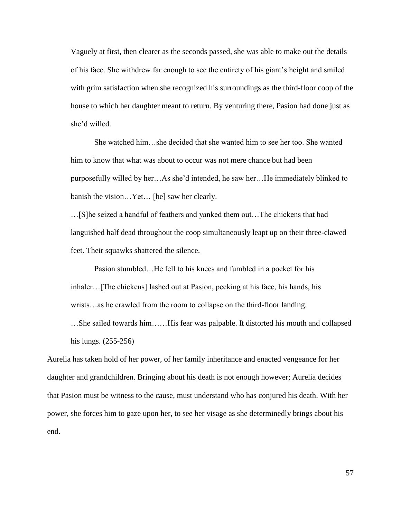Vaguely at first, then clearer as the seconds passed, she was able to make out the details of his face. She withdrew far enough to see the entirety of his giant's height and smiled with grim satisfaction when she recognized his surroundings as the third-floor coop of the house to which her daughter meant to return. By venturing there, Pasion had done just as she'd willed.

She watched him…she decided that she wanted him to see her too. She wanted him to know that what was about to occur was not mere chance but had been purposefully willed by her…As she'd intended, he saw her…He immediately blinked to banish the vision…Yet… [he] saw her clearly.

…[S]he seized a handful of feathers and yanked them out…The chickens that had languished half dead throughout the coop simultaneously leapt up on their three-clawed feet. Their squawks shattered the silence.

Pasion stumbled…He fell to his knees and fumbled in a pocket for his inhaler…[The chickens] lashed out at Pasion, pecking at his face, his hands, his wrists…as he crawled from the room to collapse on the third-floor landing.

…She sailed towards him……His fear was palpable. It distorted his mouth and collapsed his lungs. (255-256)

Aurelia has taken hold of her power, of her family inheritance and enacted vengeance for her daughter and grandchildren. Bringing about his death is not enough however; Aurelia decides that Pasion must be witness to the cause, must understand who has conjured his death. With her power, she forces him to gaze upon her, to see her visage as she determinedly brings about his end.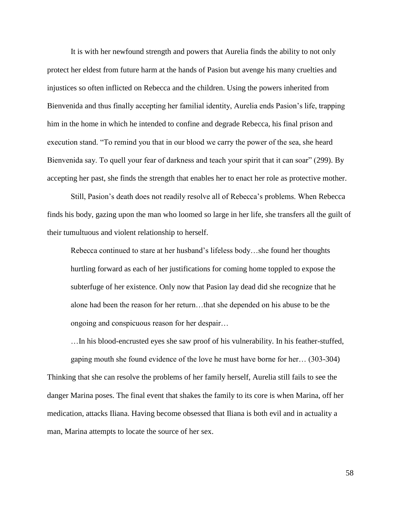It is with her newfound strength and powers that Aurelia finds the ability to not only protect her eldest from future harm at the hands of Pasion but avenge his many cruelties and injustices so often inflicted on Rebecca and the children. Using the powers inherited from Bienvenida and thus finally accepting her familial identity, Aurelia ends Pasion's life, trapping him in the home in which he intended to confine and degrade Rebecca, his final prison and execution stand. "To remind you that in our blood we carry the power of the sea, she heard Bienvenida say. To quell your fear of darkness and teach your spirit that it can soar" (299). By accepting her past, she finds the strength that enables her to enact her role as protective mother.

Still, Pasion's death does not readily resolve all of Rebecca's problems. When Rebecca finds his body, gazing upon the man who loomed so large in her life, she transfers all the guilt of their tumultuous and violent relationship to herself.

Rebecca continued to stare at her husband's lifeless body…she found her thoughts hurtling forward as each of her justifications for coming home toppled to expose the subterfuge of her existence. Only now that Pasion lay dead did she recognize that he alone had been the reason for her return…that she depended on his abuse to be the ongoing and conspicuous reason for her despair…

…In his blood-encrusted eyes she saw proof of his vulnerability. In his feather-stuffed, gaping mouth she found evidence of the love he must have borne for her… (303-304) Thinking that she can resolve the problems of her family herself, Aurelia still fails to see the danger Marina poses. The final event that shakes the family to its core is when Marina, off her medication, attacks Iliana. Having become obsessed that Iliana is both evil and in actuality a man, Marina attempts to locate the source of her sex.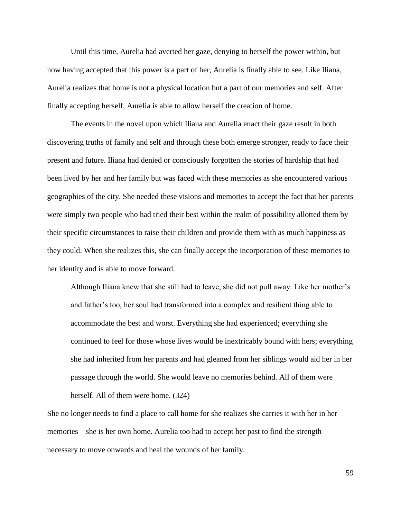Until this time, Aurelia had averted her gaze, denying to herself the power within, but now having accepted that this power is a part of her, Aurelia is finally able to see. Like Iliana, Aurelia realizes that home is not a physical location but a part of our memories and self. After finally accepting herself, Aurelia is able to allow herself the creation of home.

The events in the novel upon which Iliana and Aurelia enact their gaze result in both discovering truths of family and self and through these both emerge stronger, ready to face their present and future. Iliana had denied or consciously forgotten the stories of hardship that had been lived by her and her family but was faced with these memories as she encountered various geographies of the city. She needed these visions and memories to accept the fact that her parents were simply two people who had tried their best within the realm of possibility allotted them by their specific circumstances to raise their children and provide them with as much happiness as they could. When she realizes this, she can finally accept the incorporation of these memories to her identity and is able to move forward.

Although Iliana knew that she still had to leave, she did not pull away. Like her mother's and father's too, her soul had transformed into a complex and resilient thing able to accommodate the best and worst. Everything she had experienced; everything she continued to feel for those whose lives would be inextricably bound with hers; everything she had inherited from her parents and had gleaned from her siblings would aid her in her passage through the world. She would leave no memories behind. All of them were herself. All of them were home. (324)

She no longer needs to find a place to call home for she realizes she carries it with her in her memories—she is her own home. Aurelia too had to accept her past to find the strength necessary to move onwards and heal the wounds of her family.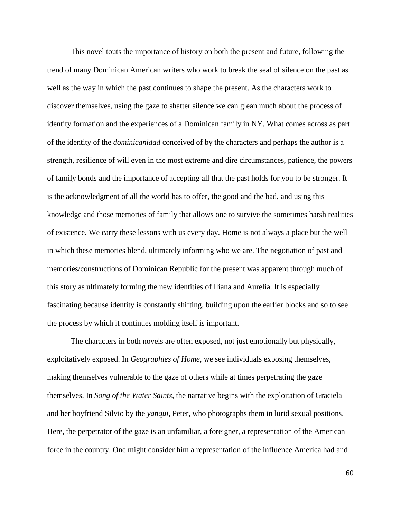This novel touts the importance of history on both the present and future, following the trend of many Dominican American writers who work to break the seal of silence on the past as well as the way in which the past continues to shape the present. As the characters work to discover themselves, using the gaze to shatter silence we can glean much about the process of identity formation and the experiences of a Dominican family in NY. What comes across as part of the identity of the *dominicanidad* conceived of by the characters and perhaps the author is a strength, resilience of will even in the most extreme and dire circumstances, patience, the powers of family bonds and the importance of accepting all that the past holds for you to be stronger. It is the acknowledgment of all the world has to offer, the good and the bad, and using this knowledge and those memories of family that allows one to survive the sometimes harsh realities of existence. We carry these lessons with us every day. Home is not always a place but the well in which these memories blend, ultimately informing who we are. The negotiation of past and memories/constructions of Dominican Republic for the present was apparent through much of this story as ultimately forming the new identities of Iliana and Aurelia. It is especially fascinating because identity is constantly shifting, building upon the earlier blocks and so to see the process by which it continues molding itself is important.

The characters in both novels are often exposed, not just emotionally but physically, exploitatively exposed. In *Geographies of Home*, we see individuals exposing themselves, making themselves vulnerable to the gaze of others while at times perpetrating the gaze themselves. In *Song of the Water Saints*, the narrative begins with the exploitation of Graciela and her boyfriend Silvio by the *yanqui*, Peter, who photographs them in lurid sexual positions. Here, the perpetrator of the gaze is an unfamiliar, a foreigner, a representation of the American force in the country. One might consider him a representation of the influence America had and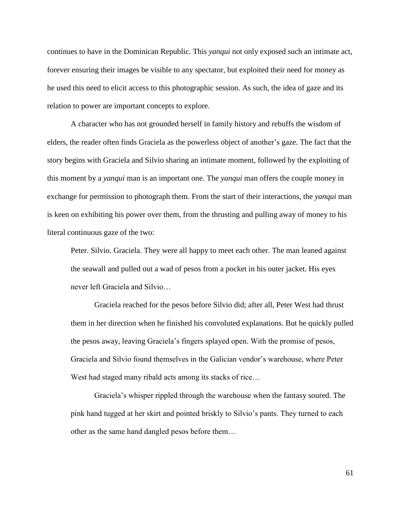continues to have in the Dominican Republic. This *yanqui* not only exposed such an intimate act, forever ensuring their images be visible to any spectator, but exploited their need for money as he used this need to elicit access to this photographic session. As such, the idea of gaze and its relation to power are important concepts to explore.

A character who has not grounded herself in family history and rebuffs the wisdom of elders, the reader often finds Graciela as the powerless object of another's gaze. The fact that the story begins with Graciela and Silvio sharing an intimate moment, followed by the exploiting of this moment by a *yanqui* man is an important one. The *yanqui* man offers the couple money in exchange for permission to photograph them. From the start of their interactions, the *yanqui* man is keen on exhibiting his power over them, from the thrusting and pulling away of money to his literal continuous gaze of the two:

Peter. Silvio. Graciela. They were all happy to meet each other. The man leaned against the seawall and pulled out a wad of pesos from a pocket in his outer jacket. His eyes never left Graciela and Silvio…

Graciela reached for the pesos before Silvio did; after all, Peter West had thrust them in her direction when he finished his convoluted explanations. But he quickly pulled the pesos away, leaving Graciela's fingers splayed open. With the promise of pesos, Graciela and Silvio found themselves in the Galician vendor's warehouse, where Peter West had staged many ribald acts among its stacks of rice...

Graciela's whisper rippled through the warehouse when the fantasy soured. The pink hand tugged at her skirt and pointed briskly to Silvio's pants. They turned to each other as the same hand dangled pesos before them…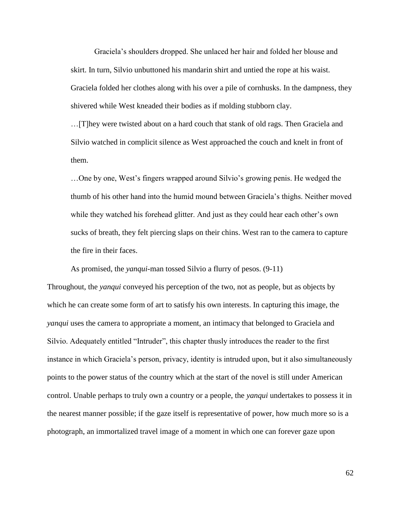Graciela's shoulders dropped. She unlaced her hair and folded her blouse and skirt. In turn, Silvio unbuttoned his mandarin shirt and untied the rope at his waist. Graciela folded her clothes along with his over a pile of cornhusks. In the dampness, they shivered while West kneaded their bodies as if molding stubborn clay.

…[T]hey were twisted about on a hard couch that stank of old rags. Then Graciela and Silvio watched in complicit silence as West approached the couch and knelt in front of them.

…One by one, West's fingers wrapped around Silvio's growing penis. He wedged the thumb of his other hand into the humid mound between Graciela's thighs. Neither moved while they watched his forehead glitter. And just as they could hear each other's own sucks of breath, they felt piercing slaps on their chins. West ran to the camera to capture the fire in their faces.

As promised, the *yanqui*-man tossed Silvio a flurry of pesos. (9-11)

Throughout, the *yanqui* conveyed his perception of the two, not as people, but as objects by which he can create some form of art to satisfy his own interests. In capturing this image, the *yanqui* uses the camera to appropriate a moment, an intimacy that belonged to Graciela and Silvio. Adequately entitled "Intruder", this chapter thusly introduces the reader to the first instance in which Graciela's person, privacy, identity is intruded upon, but it also simultaneously points to the power status of the country which at the start of the novel is still under American control. Unable perhaps to truly own a country or a people, the *yanqui* undertakes to possess it in the nearest manner possible; if the gaze itself is representative of power, how much more so is a photograph, an immortalized travel image of a moment in which one can forever gaze upon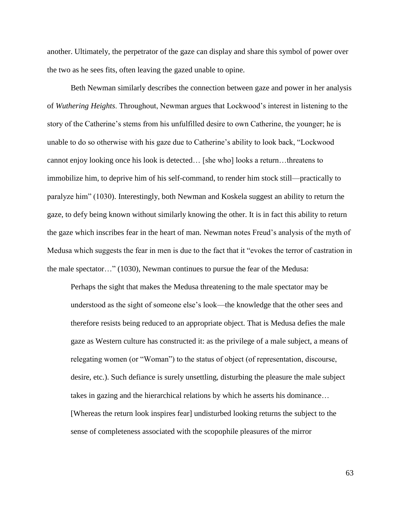another. Ultimately, the perpetrator of the gaze can display and share this symbol of power over the two as he sees fits, often leaving the gazed unable to opine.

Beth Newman similarly describes the connection between gaze and power in her analysis of *Wuthering Heights*. Throughout, Newman argues that Lockwood's interest in listening to the story of the Catherine's stems from his unfulfilled desire to own Catherine, the younger; he is unable to do so otherwise with his gaze due to Catherine's ability to look back, "Lockwood cannot enjoy looking once his look is detected… [she who] looks a return…threatens to immobilize him, to deprive him of his self-command, to render him stock still—practically to paralyze him" (1030). Interestingly, both Newman and Koskela suggest an ability to return the gaze, to defy being known without similarly knowing the other. It is in fact this ability to return the gaze which inscribes fear in the heart of man. Newman notes Freud's analysis of the myth of Medusa which suggests the fear in men is due to the fact that it "evokes the terror of castration in the male spectator…" (1030), Newman continues to pursue the fear of the Medusa:

Perhaps the sight that makes the Medusa threatening to the male spectator may be understood as the sight of someone else's look—the knowledge that the other sees and therefore resists being reduced to an appropriate object. That is Medusa defies the male gaze as Western culture has constructed it: as the privilege of a male subject, a means of relegating women (or "Woman") to the status of object (of representation, discourse, desire, etc.). Such defiance is surely unsettling, disturbing the pleasure the male subject takes in gazing and the hierarchical relations by which he asserts his dominance… [Whereas the return look inspires fear] undisturbed looking returns the subject to the sense of completeness associated with the scopophile pleasures of the mirror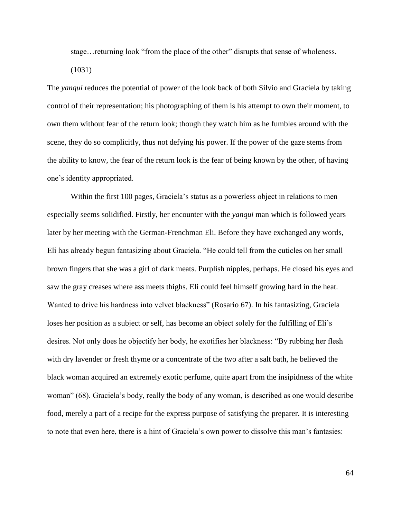stage…returning look "from the place of the other" disrupts that sense of wholeness.

(1031)

The *yanqui* reduces the potential of power of the look back of both Silvio and Graciela by taking control of their representation; his photographing of them is his attempt to own their moment, to own them without fear of the return look; though they watch him as he fumbles around with the scene, they do so complicitly, thus not defying his power. If the power of the gaze stems from the ability to know, the fear of the return look is the fear of being known by the other, of having one's identity appropriated.

Within the first 100 pages, Graciela's status as a powerless object in relations to men especially seems solidified. Firstly, her encounter with the *yanqui* man which is followed years later by her meeting with the German-Frenchman Eli. Before they have exchanged any words, Eli has already begun fantasizing about Graciela. "He could tell from the cuticles on her small brown fingers that she was a girl of dark meats. Purplish nipples, perhaps. He closed his eyes and saw the gray creases where ass meets thighs. Eli could feel himself growing hard in the heat. Wanted to drive his hardness into velvet blackness" (Rosario 67). In his fantasizing, Graciela loses her position as a subject or self, has become an object solely for the fulfilling of Eli's desires. Not only does he objectify her body, he exotifies her blackness: "By rubbing her flesh with dry lavender or fresh thyme or a concentrate of the two after a salt bath, he believed the black woman acquired an extremely exotic perfume, quite apart from the insipidness of the white woman" (68). Graciela's body, really the body of any woman, is described as one would describe food, merely a part of a recipe for the express purpose of satisfying the preparer. It is interesting to note that even here, there is a hint of Graciela's own power to dissolve this man's fantasies: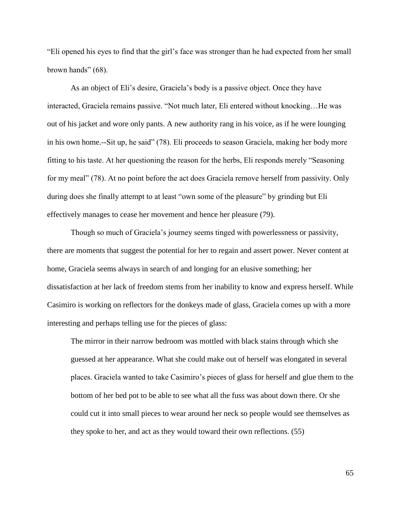"Eli opened his eyes to find that the girl's face was stronger than he had expected from her small brown hands" (68).

As an object of Eli's desire, Graciela's body is a passive object. Once they have interacted, Graciela remains passive. "Not much later, Eli entered without knocking…He was out of his jacket and wore only pants. A new authority rang in his voice, as if he were lounging in his own home.--Sit up, he said" (78). Eli proceeds to season Graciela, making her body more fitting to his taste. At her questioning the reason for the herbs, Eli responds merely "Seasoning for my meal" (78). At no point before the act does Graciela remove herself from passivity. Only during does she finally attempt to at least "own some of the pleasure" by grinding but Eli effectively manages to cease her movement and hence her pleasure (79).

Though so much of Graciela's journey seems tinged with powerlessness or passivity, there are moments that suggest the potential for her to regain and assert power. Never content at home, Graciela seems always in search of and longing for an elusive something; her dissatisfaction at her lack of freedom stems from her inability to know and express herself. While Casimiro is working on reflectors for the donkeys made of glass, Graciela comes up with a more interesting and perhaps telling use for the pieces of glass:

The mirror in their narrow bedroom was mottled with black stains through which she guessed at her appearance. What she could make out of herself was elongated in several places. Graciela wanted to take Casimiro's pieces of glass for herself and glue them to the bottom of her bed pot to be able to see what all the fuss was about down there. Or she could cut it into small pieces to wear around her neck so people would see themselves as they spoke to her, and act as they would toward their own reflections. (55)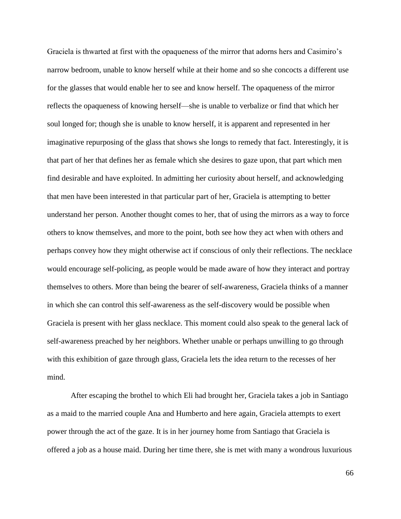Graciela is thwarted at first with the opaqueness of the mirror that adorns hers and Casimiro's narrow bedroom, unable to know herself while at their home and so she concocts a different use for the glasses that would enable her to see and know herself. The opaqueness of the mirror reflects the opaqueness of knowing herself—she is unable to verbalize or find that which her soul longed for; though she is unable to know herself, it is apparent and represented in her imaginative repurposing of the glass that shows she longs to remedy that fact. Interestingly, it is that part of her that defines her as female which she desires to gaze upon, that part which men find desirable and have exploited. In admitting her curiosity about herself, and acknowledging that men have been interested in that particular part of her, Graciela is attempting to better understand her person. Another thought comes to her, that of using the mirrors as a way to force others to know themselves, and more to the point, both see how they act when with others and perhaps convey how they might otherwise act if conscious of only their reflections. The necklace would encourage self-policing, as people would be made aware of how they interact and portray themselves to others. More than being the bearer of self-awareness, Graciela thinks of a manner in which she can control this self-awareness as the self-discovery would be possible when Graciela is present with her glass necklace. This moment could also speak to the general lack of self-awareness preached by her neighbors. Whether unable or perhaps unwilling to go through with this exhibition of gaze through glass, Graciela lets the idea return to the recesses of her mind.

After escaping the brothel to which Eli had brought her, Graciela takes a job in Santiago as a maid to the married couple Ana and Humberto and here again, Graciela attempts to exert power through the act of the gaze. It is in her journey home from Santiago that Graciela is offered a job as a house maid. During her time there, she is met with many a wondrous luxurious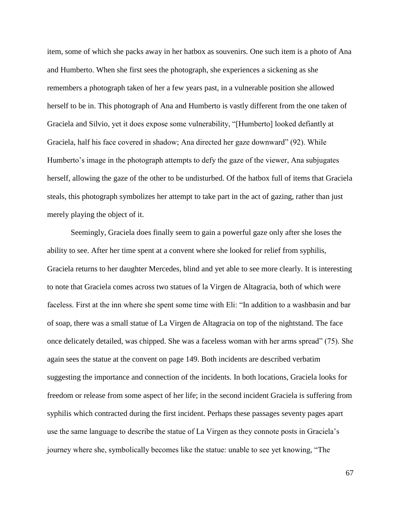item, some of which she packs away in her hatbox as souvenirs. One such item is a photo of Ana and Humberto. When she first sees the photograph, she experiences a sickening as she remembers a photograph taken of her a few years past, in a vulnerable position she allowed herself to be in. This photograph of Ana and Humberto is vastly different from the one taken of Graciela and Silvio, yet it does expose some vulnerability, "[Humberto] looked defiantly at Graciela, half his face covered in shadow; Ana directed her gaze downward" (92). While Humberto's image in the photograph attempts to defy the gaze of the viewer, Ana subjugates herself, allowing the gaze of the other to be undisturbed. Of the hatbox full of items that Graciela steals, this photograph symbolizes her attempt to take part in the act of gazing, rather than just merely playing the object of it.

Seemingly, Graciela does finally seem to gain a powerful gaze only after she loses the ability to see. After her time spent at a convent where she looked for relief from syphilis, Graciela returns to her daughter Mercedes, blind and yet able to see more clearly. It is interesting to note that Graciela comes across two statues of la Virgen de Altagracia, both of which were faceless. First at the inn where she spent some time with Eli: "In addition to a washbasin and bar of soap, there was a small statue of La Virgen de Altagracia on top of the nightstand. The face once delicately detailed, was chipped. She was a faceless woman with her arms spread" (75). She again sees the statue at the convent on page 149. Both incidents are described verbatim suggesting the importance and connection of the incidents. In both locations, Graciela looks for freedom or release from some aspect of her life; in the second incident Graciela is suffering from syphilis which contracted during the first incident. Perhaps these passages seventy pages apart use the same language to describe the statue of La Virgen as they connote posts in Graciela's journey where she, symbolically becomes like the statue: unable to see yet knowing, "The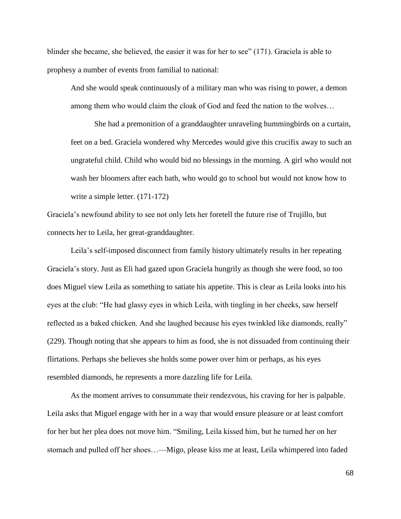blinder she became, she believed, the easier it was for her to see" (171). Graciela is able to prophesy a number of events from familial to national:

And she would speak continuously of a military man who was rising to power, a demon among them who would claim the cloak of God and feed the nation to the wolves…

She had a premonition of a granddaughter unraveling hummingbirds on a curtain, feet on a bed. Graciela wondered why Mercedes would give this crucifix away to such an ungrateful child. Child who would bid no blessings in the morning. A girl who would not wash her bloomers after each bath, who would go to school but would not know how to write a simple letter. (171-172)

Graciela's newfound ability to see not only lets her foretell the future rise of Trujillo, but connects her to Leila, her great-granddaughter.

Leila's self-imposed disconnect from family history ultimately results in her repeating Graciela's story. Just as Eli had gazed upon Graciela hungrily as though she were food, so too does Miguel view Leila as something to satiate his appetite. This is clear as Leila looks into his eyes at the club: "He had glassy eyes in which Leila, with tingling in her cheeks, saw herself reflected as a baked chicken. And she laughed because his eyes twinkled like diamonds, really" (229). Though noting that she appears to him as food, she is not dissuaded from continuing their flirtations. Perhaps she believes she holds some power over him or perhaps, as his eyes resembled diamonds, he represents a more dazzling life for Leila.

As the moment arrives to consummate their rendezvous, his craving for her is palpable. Leila asks that Miguel engage with her in a way that would ensure pleasure or at least comfort for her but her plea does not move him. "Smiling, Leila kissed him, but he turned her on her stomach and pulled off her shoes…—Migo, please kiss me at least, Leila whimpered into faded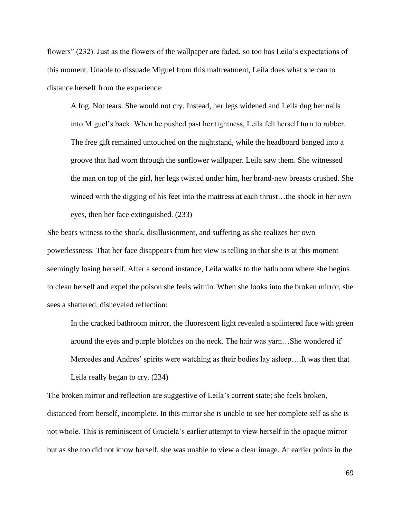flowers" (232). Just as the flowers of the wallpaper are faded, so too has Leila's expectations of this moment. Unable to dissuade Miguel from this maltreatment, Leila does what she can to distance herself from the experience:

A fog. Not tears. She would not cry. Instead, her legs widened and Leila dug her nails into Miguel's back. When he pushed past her tightness, Leila felt herself turn to rubber. The free gift remained untouched on the nightstand, while the headboard banged into a groove that had worn through the sunflower wallpaper. Leila saw them. She witnessed the man on top of the girl, her legs twisted under him, her brand-new breasts crushed. She winced with the digging of his feet into the mattress at each thrust…the shock in her own eyes, then her face extinguished. (233)

She bears witness to the shock, disillusionment, and suffering as she realizes her own powerlessness. That her face disappears from her view is telling in that she is at this moment seemingly losing herself. After a second instance, Leila walks to the bathroom where she begins to clean herself and expel the poison she feels within. When she looks into the broken mirror, she sees a shattered, disheveled reflection:

In the cracked bathroom mirror, the fluorescent light revealed a splintered face with green around the eyes and purple blotches on the neck. The hair was yarn…She wondered if Mercedes and Andres' spirits were watching as their bodies lay asleep….It was then that Leila really began to cry. (234)

The broken mirror and reflection are suggestive of Leila's current state; she feels broken, distanced from herself, incomplete. In this mirror she is unable to see her complete self as she is not whole. This is reminiscent of Graciela's earlier attempt to view herself in the opaque mirror but as she too did not know herself, she was unable to view a clear image. At earlier points in the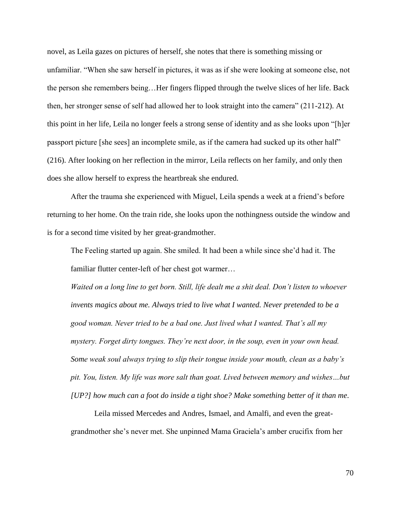novel, as Leila gazes on pictures of herself, she notes that there is something missing or unfamiliar. "When she saw herself in pictures, it was as if she were looking at someone else, not the person she remembers being…Her fingers flipped through the twelve slices of her life. Back then, her stronger sense of self had allowed her to look straight into the camera" (211-212). At this point in her life, Leila no longer feels a strong sense of identity and as she looks upon "[h]er passport picture [she sees] an incomplete smile, as if the camera had sucked up its other half" (216). After looking on her reflection in the mirror, Leila reflects on her family, and only then does she allow herself to express the heartbreak she endured.

After the trauma she experienced with Miguel, Leila spends a week at a friend's before returning to her home. On the train ride, she looks upon the nothingness outside the window and is for a second time visited by her great-grandmother.

The Feeling started up again. She smiled. It had been a while since she'd had it. The familiar flutter center-left of her chest got warmer…

*Waited on a long line to get born. Still, life dealt me a shit deal. Don't listen to whoever invents magics about me. Always tried to live what I wanted. Never pretended to be a good woman. Never tried to be a bad one. Just lived what I wanted. That's all my mystery. Forget dirty tongues. They're next door, in the soup, even in your own head. Some weak soul always trying to slip their tongue inside your mouth, clean as a baby's pit. You, listen. My life was more salt than goat. Lived between memory and wishes…but [UP?] how much can a foot do inside a tight shoe? Make something better of it than me.*

Leila missed Mercedes and Andres, Ismael, and Amalfi, and even the greatgrandmother she's never met. She unpinned Mama Graciela's amber crucifix from her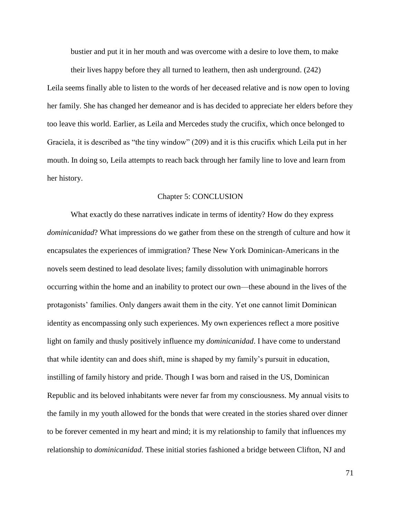bustier and put it in her mouth and was overcome with a desire to love them, to make their lives happy before they all turned to leathern, then ash underground. (242)

Leila seems finally able to listen to the words of her deceased relative and is now open to loving her family. She has changed her demeanor and is has decided to appreciate her elders before they too leave this world. Earlier, as Leila and Mercedes study the crucifix, which once belonged to Graciela, it is described as "the tiny window" (209) and it is this crucifix which Leila put in her mouth. In doing so, Leila attempts to reach back through her family line to love and learn from her history.

## Chapter 5: CONCLUSION

What exactly do these narratives indicate in terms of identity? How do they express *dominicanidad*? What impressions do we gather from these on the strength of culture and how it encapsulates the experiences of immigration? These New York Dominican-Americans in the novels seem destined to lead desolate lives; family dissolution with unimaginable horrors occurring within the home and an inability to protect our own—these abound in the lives of the protagonists' families. Only dangers await them in the city. Yet one cannot limit Dominican identity as encompassing only such experiences. My own experiences reflect a more positive light on family and thusly positively influence my *dominicanidad*. I have come to understand that while identity can and does shift, mine is shaped by my family's pursuit in education, instilling of family history and pride. Though I was born and raised in the US, Dominican Republic and its beloved inhabitants were never far from my consciousness. My annual visits to the family in my youth allowed for the bonds that were created in the stories shared over dinner to be forever cemented in my heart and mind; it is my relationship to family that influences my relationship to *dominicanidad*. These initial stories fashioned a bridge between Clifton, NJ and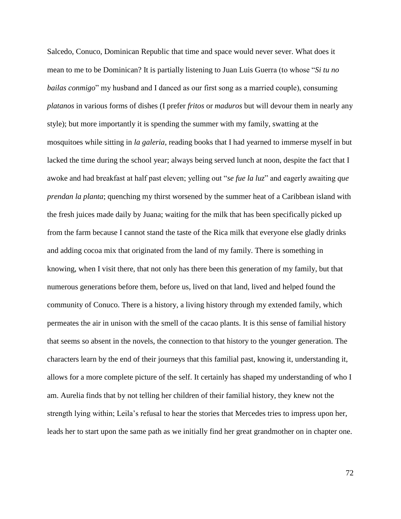Salcedo, Conuco, Dominican Republic that time and space would never sever. What does it mean to me to be Dominican? It is partially listening to Juan Luis Guerra (to whose "*Si tu no bailas conmigo*" my husband and I danced as our first song as a married couple), consuming *platanos* in various forms of dishes (I prefer *fritos* or *maduros* but will devour them in nearly any style); but more importantly it is spending the summer with my family, swatting at the mosquitoes while sitting in *la galeria*, reading books that I had yearned to immerse myself in but lacked the time during the school year; always being served lunch at noon, despite the fact that I awoke and had breakfast at half past eleven; yelling out "*se fue la luz*" and eagerly awaiting *que prendan la planta*; quenching my thirst worsened by the summer heat of a Caribbean island with the fresh juices made daily by Juana; waiting for the milk that has been specifically picked up from the farm because I cannot stand the taste of the Rica milk that everyone else gladly drinks and adding cocoa mix that originated from the land of my family. There is something in knowing, when I visit there, that not only has there been this generation of my family, but that numerous generations before them, before us, lived on that land, lived and helped found the community of Conuco. There is a history, a living history through my extended family, which permeates the air in unison with the smell of the cacao plants. It is this sense of familial history that seems so absent in the novels, the connection to that history to the younger generation. The characters learn by the end of their journeys that this familial past, knowing it, understanding it, allows for a more complete picture of the self. It certainly has shaped my understanding of who I am. Aurelia finds that by not telling her children of their familial history, they knew not the strength lying within; Leila's refusal to hear the stories that Mercedes tries to impress upon her, leads her to start upon the same path as we initially find her great grandmother on in chapter one.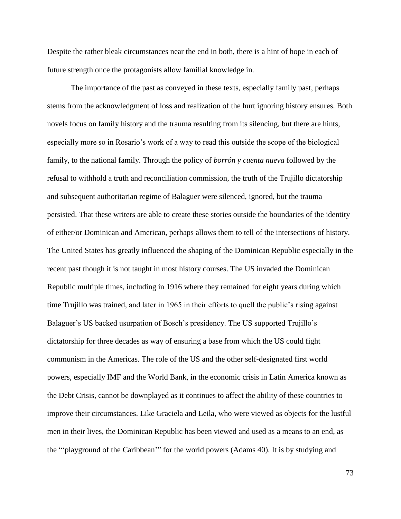Despite the rather bleak circumstances near the end in both, there is a hint of hope in each of future strength once the protagonists allow familial knowledge in.

The importance of the past as conveyed in these texts, especially family past, perhaps stems from the acknowledgment of loss and realization of the hurt ignoring history ensures. Both novels focus on family history and the trauma resulting from its silencing, but there are hints, especially more so in Rosario's work of a way to read this outside the scope of the biological family, to the national family. Through the policy of *borrón y cuenta nueva* followed by the refusal to withhold a truth and reconciliation commission, the truth of the Trujillo dictatorship and subsequent authoritarian regime of Balaguer were silenced, ignored, but the trauma persisted. That these writers are able to create these stories outside the boundaries of the identity of either/or Dominican and American, perhaps allows them to tell of the intersections of history. The United States has greatly influenced the shaping of the Dominican Republic especially in the recent past though it is not taught in most history courses. The US invaded the Dominican Republic multiple times, including in 1916 where they remained for eight years during which time Trujillo was trained, and later in 1965 in their efforts to quell the public's rising against Balaguer's US backed usurpation of Bosch's presidency. The US supported Trujillo's dictatorship for three decades as way of ensuring a base from which the US could fight communism in the Americas. The role of the US and the other self-designated first world powers, especially IMF and the World Bank, in the economic crisis in Latin America known as the Debt Crisis, cannot be downplayed as it continues to affect the ability of these countries to improve their circumstances. Like Graciela and Leila, who were viewed as objects for the lustful men in their lives, the Dominican Republic has been viewed and used as a means to an end, as the "'playground of the Caribbean'" for the world powers (Adams 40). It is by studying and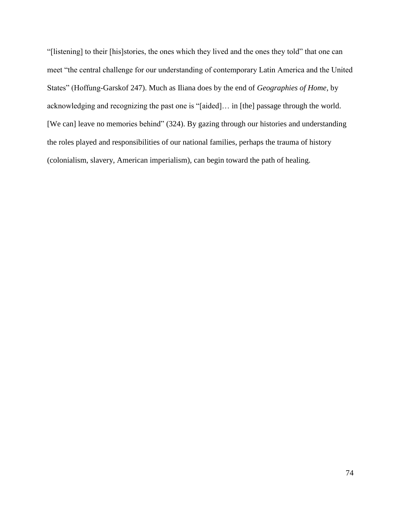"[listening] to their [his]stories, the ones which they lived and the ones they told" that one can meet "the central challenge for our understanding of contemporary Latin America and the United States" (Hoffung-Garskof 247). Much as Iliana does by the end of *Geographies of Home*, by acknowledging and recognizing the past one is "[aided]… in [the] passage through the world. [We can] leave no memories behind" (324). By gazing through our histories and understanding the roles played and responsibilities of our national families, perhaps the trauma of history (colonialism, slavery, American imperialism), can begin toward the path of healing.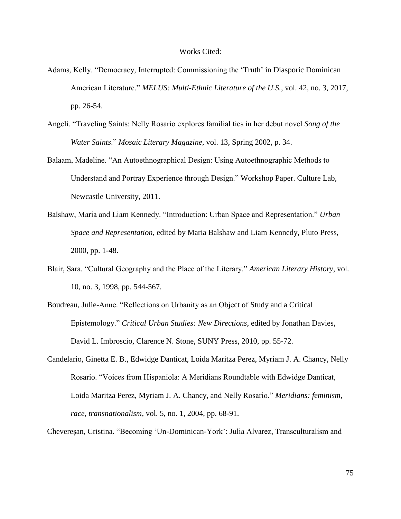## Works Cited:

- Adams, Kelly. "Democracy, Interrupted: Commissioning the 'Truth' in Diasporic Dominican American Literature." *MELUS: Multi-Ethnic Literature of the U.S.*, vol. 42, no. 3, 2017, pp. 26-54.
- Angeli. "Traveling Saints: Nelly Rosario explores familial ties in her debut novel *Song of the Water Saints*." *Mosaic Literary Magazine*, vol. 13, Spring 2002, p. 34.
- Balaam, Madeline. "An Autoethnographical Design: Using Autoethnographic Methods to Understand and Portray Experience through Design." Workshop Paper. Culture Lab, Newcastle University, 2011.
- Balshaw, Maria and Liam Kennedy. "Introduction: Urban Space and Representation." *Urban Space and Representation*, edited by Maria Balshaw and Liam Kennedy, Pluto Press, 2000, pp. 1-48.
- Blair, Sara. "Cultural Geography and the Place of the Literary." *American Literary History*, vol. 10, no. 3, 1998, pp. 544-567.
- Boudreau, Julie-Anne. "Reflections on Urbanity as an Object of Study and a Critical Epistemology." *Critical Urban Studies: New Directions*, edited by Jonathan Davies, David L. Imbroscio, Clarence N. Stone, SUNY Press, 2010, pp. 55-72.
- Candelario, Ginetta E. B., Edwidge Danticat, Loida Maritza Perez, Myriam J. A. Chancy, Nelly Rosario. "Voices from Hispaniola: A Meridians Roundtable with Edwidge Danticat, Loida Maritza Perez, Myriam J. A. Chancy, and Nelly Rosario." *Meridians: feminism, race, transnationalism*, vol. 5, no. 1, 2004, pp. 68-91.
- Chevereşan, Cristina. "Becoming 'Un-Dominican-York': Julia Alvarez, Transculturalism and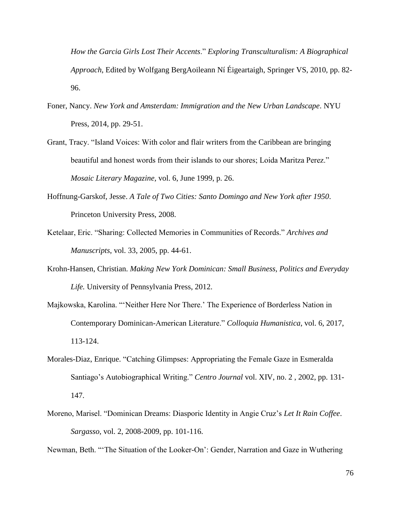*How the Garcia Girls Lost Their Accents*." *Exploring Transculturalism: A Biographical Approach*, Edited by Wolfgang BergAoileann Ní Éigeartaigh, Springer VS, 2010, pp. 82- 96.

- Foner, Nancy. *New York and Amsterdam: Immigration and the New Urban Landscape*. NYU Press, 2014, pp. 29-51.
- Grant, Tracy. "Island Voices: With color and flair writers from the Caribbean are bringing beautiful and honest words from their islands to our shores; Loida Maritza Perez." *Mosaic Literary Magazine,* vol. 6, June 1999, p. 26.
- Hoffnung-Garskof, Jesse. *A Tale of Two Cities: Santo Domingo and New York after 1950*. Princeton University Press, 2008.
- Ketelaar, Eric. "Sharing: Collected Memories in Communities of Records." *Archives and Manuscripts*, vol. 33, 2005, pp. 44-61.
- Krohn-Hansen, Christian. *Making New York Dominican: Small Business, Politics and Everyday Life.* University of Pennsylvania Press, 2012.
- Majkowska, Karolina. "'Neither Here Nor There.' The Experience of Borderless Nation in Contemporary Dominican-American Literature." *Colloquia Humanistica*, vol. 6, 2017, 113-124.
- Morales-Diaz, Enrique. "Catching Glimpses: Appropriating the Female Gaze in Esmeralda Santiago's Autobiographical Writing." *Centro Journal* vol. XIV, no. 2 , 2002, pp. 131- 147.
- Moreno, Marisel. "Dominican Dreams: Diasporic Identity in Angie Cruz's *Let It Rain Coffee*. *Sargasso*, vol. 2, 2008-2009, pp. 101-116.

Newman, Beth. "'The Situation of the Looker-On': Gender, Narration and Gaze in Wuthering